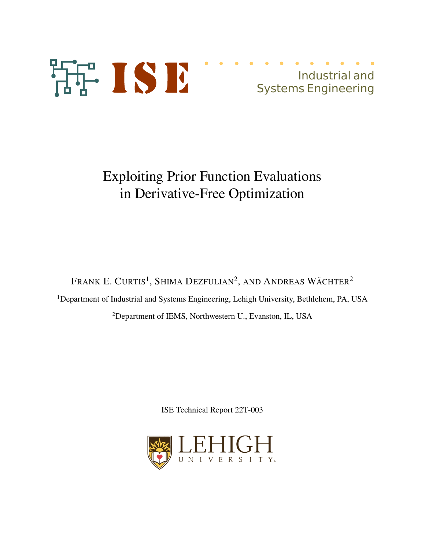

# Exploiting Prior Function Evaluations in Derivative-Free Optimization

Frank E. Curtis<sup>1</sup>, Shima Dezfulian<sup>2</sup>, and Andreas Wächter<sup>2</sup>

<sup>1</sup>Department of Industrial and Systems Engineering, Lehigh University, Bethlehem, PA, USA

<sup>2</sup>Department of IEMS, Northwestern U., Evanston, IL, USA

ISE Technical Report 22T-003

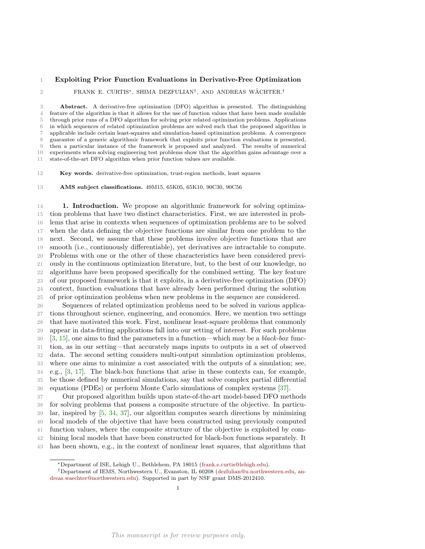# Exploiting Prior Function Evaluations in Derivative-Free Optimization

 $\texttt{2}$  FRANK E. CURTIS<sup>\*</sup>, SHIMA DEZFULIAN<sup>†</sup>, AND ANDREAS WÄCHTER.<sup>†</sup>

 Abstract. A derivative-free optimization (DFO) algorithm is presented. The distinguishing feature of the algorithm is that it allows for the use of function values that have been made available through prior runs of a DFO algorithm for solving prior related optimization problems. Applications in which sequences of related optimization problems are solved such that the proposed algorithm is applicable include certain least-squares and simulation-based optimization problems. A convergence guarantee of a generic algorithmic framework that exploits prior function evaluations is presented, then a particular instance of the framework is proposed and analyzed. The results of numerical experiments when solving engineering test problems show that the algorithm gains advantage over a state-of-the-art DFO algorithm when prior function values are available.

Key words. derivative-free optimization, trust-region methods, least squares

AMS subject classifications. 49M15, 65K05, 65K10, 90C30, 90C56

 1. Introduction. We propose an algorithmic framework for solving optimiza- tion problems that have two distinct characteristics. First, we are interested in prob- lems that arise in contexts when sequences of optimization problems are to be solved when the data defining the objective functions are similar from one problem to the next. Second, we assume that these problems involve objective functions that are smooth (i.e., continuously differentiable), yet derivatives are intractable to compute. Problems with one or the other of these characteristics have been considered previ- ously in the continuous optimization literature, but, to the best of our knowledge, no algorithms have been proposed specifically for the combined setting. The key feature of our proposed framework is that it exploits, in a derivative-free optimization (DFO) context, function evaluations that have already been performed during the solution of prior optimization problems when new problems in the sequence are considered.

 Sequences of related optimization problems need to be solved in various applica- tions throughout science, engineering, and economics. Here, we mention two settings that have motivated this work. First, nonlinear least-square problems that commonly appear in data-fitting applications fall into our setting of interest. For such problems  $30\quad$  [3, 15], one aims to find the parameters in a function—which may be a black-box func- tion, as in our setting—that accurately maps inputs to outputs in a set of observed data. The second setting considers multi-output simulation optimization problems, where one aims to minimize a cost associated with the outputs of a simulation; see, e.g., [3, 17]. The black-box functions that arise in these contexts can, for example, be those defined by numerical simulations, say that solve complex partial differential equations (PDEs) or perform Monte Carlo simulations of complex systems [37].

 Our proposed algorithm builds upon state-of-the-art model-based DFO methods for solving problems that possess a composite structure of the objective. In particu- lar, inspired by [5, 34, 37], our algorithm computes search directions by minimizing local models of the objective that have been constructed using previously computed function values, where the composite structure of the objective is exploited by com- bining local models that have been constructed for black-box functions separately. It has been shown, e.g., in the context of nonlinear least squares, that algorithms that

<sup>∗</sup>Department of ISE, Lehigh U., Bethlehem, PA 18015 (frank.e.curtis@lehigh.edu).

<sup>†</sup>Department of IEMS, Northwestern U., Evanston, IL 60208 (dezfulian@u.northwestern.edu, andreas.waechter@northwestern.edu). Supported in part by NSF grant DMS-2012410.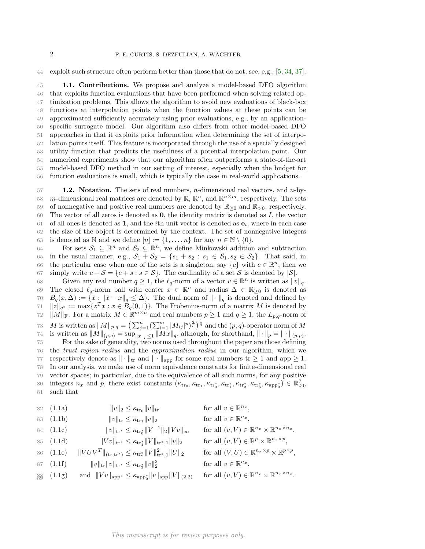44 exploit such structure often perform better than those that do not; see, e.g., [5, 34, 37].

 1.1. Contributions. We propose and analyze a model-based DFO algorithm that exploits function evaluations that have been performed when solving related op- timization problems. This allows the algorithm to avoid new evaluations of black-box functions at interpolation points when the function values at these points can be approximated sufficiently accurately using prior evaluations, e.g., by an application- specific surrogate model. Our algorithm also differs from other model-based DFO approaches in that it exploits prior information when determining the set of interpo- lation points itself. This feature is incorporated through the use of a specially designed utility function that predicts the usefulness of a potential interpolation point. Our numerical experiments show that our algorithm often outperforms a state-of-the-art model-based DFO method in our setting of interest, especially when the budget for function evaluations is small, which is typically the case in real-world applications.

57 **1.2. Notation.** The sets of real numbers, *n*-dimensional real vectors, and *n*-by-58 m-dimensional real matrices are denoted by  $\mathbb{R}, \mathbb{R}^n$ , and  $\mathbb{R}^{n \times m}$ , respectively. The sets 59 of nonnegative and positive real numbers are denoted by  $\mathbb{R}_{\geq 0}$  and  $\mathbb{R}_{\geq 0}$ , respectively. 60 The vector of all zeros is denoted as  $\mathbf{0}$ , the identity matrix is denoted as  $I$ , the vector 61 of all ones is denoted as 1, and the *i*th unit vector is denoted as  $e_i$ , where in each case 62 the size of the object is determined by the context. The set of nonnegative integers 63 is denoted as N and we define  $[n] := \{1, \ldots, n\}$  for any  $n \in \mathbb{N} \setminus \{0\}.$ 

For sets  $S_1 \subseteq \mathbb{R}^n$  and  $S_2 \subseteq \mathbb{R}^n$ , we define Minkowski addition and subtraction 65 in the usual manner, e.g.,  $S_1 + S_2 = \{s_1 + s_2 : s_1 \in S_1, s_2 \in S_2\}$ . That said, in 66 the particular case when one of the sets is a singleton, say  ${c}$  with  $c \in \mathbb{R}^n$ , then we

67 simply write  $c + \mathcal{S} = \{c + s : s \in \mathcal{S}\}\$ . The cardinality of a set  $\mathcal{S}$  is denoted by  $|\mathcal{S}|$ .<br>68 Given any real number  $a \geq 1$ , the  $\ell_a$ -norm of a vector  $v \in \mathbb{R}^n$  is written as  $||v||$ Given any real number  $q \ge 1$ , the  $\ell_q$ -norm of a vector  $v \in \mathbb{R}^n$  is written as  $||v||_q$ . 69 The closed  $\ell_q$ -norm ball with center  $x \in \mathbb{R}^n$  and radius  $\Delta \in \mathbb{R}_{\geq 0}$  is denoted as 70  $B_q(x, \Delta) := {\{\bar{x} : \|\bar{x} - x\|_q \leq \Delta\}}.$  The dual norm of  $\|\cdot\|_q$  is denoted and defined by<br>71  $\|z\|_{\alpha^*} := \max\{z^T x : x \in B_\alpha(0,1)\}.$  The Frobenius-norm of a matrix M is denoted by 71  $||z||_{q^*} := \max\{z^T x : x \in B_q(0,1)\}\.$  The Frobenius-norm of a matrix M is denoted by 72  $||M||_F$ . For a matrix  $M \in \mathbb{R}^{m \times n}$  and real numbers  $p \ge 1$  and  $q \ge 1$ , the  $L_{p,q}$ -norm of 73 M is written as  $||M||_{p,q} = \left(\sum_{j=1}^n \left(\sum_{i=1}^m |M_{ij}|^p\right)^{\frac{q}{p}}\right)^{\frac{1}{q}}$  and the  $(p,q)$ -operator norm of M <sup>74</sup> is written as  $||M||_{(p,q)} = \sup_{||x||_p \leq 1} ||Mx||_q$ , although, for shorthand,  $|| \cdot ||_p = || \cdot ||_{(p,p)}$ . 75 For the sake of generality, two norms used throughout the paper are those defining 76 the trust region radius and the approximation radius in our algorithm, which we 77 respectively denote as  $\|\cdot\|_{\text{tr}}$  and  $\|\cdot\|_{\text{app}}$  for some real numbers tr  $\geq 1$  and app  $\geq 1$ . 78 In our analysis, we make use of norm equivalence constants for finite-dimensional real 79 vector spaces; in particular, due to the equivalence of all such norms, for any positive integers  $n_x$  and p, there exist constants  $(\kappa_{\text{tr}_0}, \kappa_{\text{tr}_1}, \kappa_{\text{tr}_0^*}, \kappa_{\text{tr}_1^*}, \kappa_{\text{tr}_2^*}, \kappa_{\text{tr}_3^*}, \kappa_{\text{app}_0^*}) \in \mathbb{R}_{\geq 0}^7$ 80 81 such that

82 (1.1a)  
\n
$$
\|v\|_{2} \leq \kappa_{\text{tr}_{0}} \|v\|_{\text{tr}}
$$
\n611  $v \in \mathbb{R}^{n_{x}},$   
\n83 (1.1b)  
\n
$$
\|v\|_{\text{tr}} \leq \kappa_{\text{tr}_{1}} \|v\|_{2}
$$
\n62  $\kappa_{\text{tr}_{2}} \|v\|_{\text{tr}} \leq \kappa_{\text{tr}_{2}} \|V^{-1}\|_{2} \|Vv\|_{\infty}$   
\n63  $(1.1c)$   
\n
$$
\|v\|_{\text{tr}} \leq \kappa_{\text{tr}_{2}} \|V^{-1}\|_{2} \|Vv\|_{\infty}
$$
\n64  $(1.1c)$   
\n
$$
\|Vv\|_{\text{tr}} \leq \kappa_{\text{tr}_{2}} \|V^{-1}\|_{2} \|Vv\|_{\infty}
$$
\n65  $(1.1d)$   
\n
$$
\|Vv\|_{\text{tr}} \leq \kappa_{\text{tr}_{2}} \|V\|_{\text{tr}_{1}} \|v\|_{2}
$$
\n66  $(1.1e)$   
\n
$$
\|VUV^{T}\|_{(\text{tr}, \text{tr}^{*})} \leq \kappa_{\text{tr}_{2}} \|V\|_{\text{tr}_{1}}^{2}, \|U\|_{2}
$$
\n67  $\text{all } (V, U) \in \mathbb{R}^{n_{x}} \times \mathbb{R}^{n_{x} \times p},$   
\n68  $(1.1f)$   
\n
$$
\|v\|_{\text{tr}} \|v\|_{\text{tr}} \|v\|_{\text{tr}_{1}} \leq \kappa_{\text{tr}_{2}} \|v\|_{2}^{2}
$$
\n68  $\text{all } v \in \mathbb{R}^{n_{x}},$   
\n69  $(1.1g)$ \n60  $\|Vv\|_{\text{app}} \leq \kappa_{\text{app}_{0}} \|v\|_{\text{app}} \|V\|_{(2,2)}$ \n61  $\text{all } (v, V) \in \mathbb{R}^{n_{x}} \times \mathbb{R}^{n_{x} \times n_{x}}.$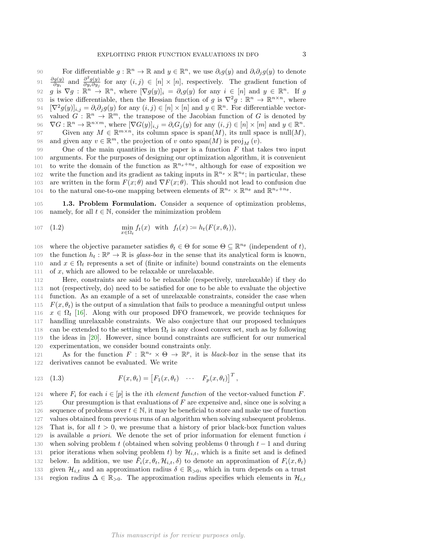90 For differentiable  $g : \mathbb{R}^n \to \mathbb{R}$  and  $y \in \mathbb{R}^n$ , we use  $\partial_i g(y)$  and  $\partial_i \partial_j g(y)$  to denote  $\partial g(y)$  $\frac{\partial g(y)}{\partial y_i}$  and  $\frac{\partial^2 g(y)}{\partial y_i \partial y_j}$  $\frac{\partial g(y)}{\partial y_i}$  and  $\frac{\partial g(y)}{\partial y_i \partial y_j}$  for any  $(i, j) \in [n] \times [n]$ , respectively. The gradient function of 92 g is  $\nabla g : \mathbb{R}^n \to \mathbb{R}^n$ , where  $[\nabla g(y)]_i = \partial_i g(y)$  for any  $i \in [n]$  and  $y \in \mathbb{R}^n$ . If g 93 is twice differentiable, then the Hessian function of g is  $\nabla^2 g : \mathbb{R}^n \to \mathbb{R}^{n \times n}$ , where 94  $[\nabla^2 g(y)]_{i,j} = \partial_i \partial_j g(y)$  for any  $(i, j) \in [n] \times [n]$  and  $y \in \mathbb{R}^n$ . For differentiable vector-95 valued  $G : \mathbb{R}^n \to \mathbb{R}^m$ , the transpose of the Jacobian function of G is denoted by 96  $\nabla G: \mathbb{R}^n \to \mathbb{R}^{n \times m}$ , where  $[\nabla G(y)]_{i,j} = \partial_i G_j(y)$  for any  $(i,j) \in [n] \times [m]$  and  $y \in \mathbb{R}^n$ . 97 Given any  $M \in \mathbb{R}^{m \times n}$ , its column space is span $(M)$ , its null space is null $(M)$ , 98 and given any  $v \in \mathbb{R}^m$ , the projection of v onto  $\text{span}(M)$  is  $\text{proj}_M(v)$ .

99 One of the main quantities in the paper is a function  $F$  that takes two input 100 arguments. For the purposes of designing our optimization algorithm, it is convenient 101 to write the domain of the function as  $\mathbb{R}^{n_x+n_\theta}$ , although for ease of exposition we 102 write the function and its gradient as taking inputs in  $\mathbb{R}^{n_x} \times \mathbb{R}^{n_\theta}$ ; in particular, these 103 are written in the form  $F(x; \theta)$  and  $\nabla F(x; \theta)$ . This should not lead to confusion due 104 to the natural one-to-one mapping between elements of  $\mathbb{R}^{n_x} \times \mathbb{R}^{n_\theta}$  and  $\mathbb{R}^{n_x+n_\theta}$ .

105 1.3. Problem Formulation. Consider a sequence of optimization problems, 106 namely, for all  $t \in \mathbb{N}$ , consider the minimization problem

107 (1.2) 
$$
\min_{x \in \Omega_t} f_t(x) \text{ with } f_t(x) := h_t(F(x, \theta_t)),
$$

108 where the objective parameter satisfies  $\theta_t \in \Theta$  for some  $\Theta \subseteq \mathbb{R}^{n_{\theta}}$  (independent of t), the function  $h_t : \mathbb{R}^p \to \mathbb{R}$  is glass-box in the sense that its analytical form is known,<br>110 and  $x \in \Omega_t$  represents a set of (finite or infinite) bound constraints on the elements 110 and  $x \in \Omega_t$  represents a set of (finite or infinite) bound constraints on the elements 111 of x, which are allowed to be relaxable or unrelaxable. of  $x$ , which are allowed to be relaxable or unrelaxable.

 Here, constraints are said to be relaxable (respectively, unrelaxable) if they do not (respectively, do) need to be satisfied for one to be able to evaluate the objective function. As an example of a set of unrelaxable constraints, consider the case when  $F(x, \theta_t)$  is the output of a simulation that fails to produce a meaningful output unless  $x \in \Omega_t$  [16]. Along with our proposed DFO framework, we provide techniques for handling unrelaxable constraints. We also conjecture that our proposed techniques handling unrelaxable constraints. We also conjecture that our proposed techniques 118 can be extended to the setting when  $\Omega_t$  is any closed convex set, such as by following the ideas in [20]. However, since bound constraints are sufficient for our numerical experimentation, we consider bound constraints only.

121 As for the function  $F : \mathbb{R}^{n_x} \times \Theta \to \mathbb{R}^p$ , it is *black-box* in the sense that its 122 derivatives cannot be evaluated. We write

123 (1.3) 
$$
F(x, \theta_t) = [F_1(x, \theta_t) \cdots F_p(x, \theta_t)]^T,
$$

124 where  $F_i$  for each  $i \in [p]$  is the *i*th *element function* of the vector-valued function  $F$ .<br>125 Our presumption is that evaluations of  $F$  are expensive and, since one is solving a

Our presumption is that evaluations of  $F$  are expensive and, since one is solving a 126 sequence of problems over  $t \in \mathbb{N}$ , it may be beneficial to store and make use of function values obtained from previous runs of an algorithm when solving subsequent problems. values obtained from previous runs of an algorithm when solving subsequent problems. 128 That is, for all  $t > 0$ , we presume that a history of prior black-box function values 129 is available a priori. We denote the set of prior information for element function i 130 when solving problem t (obtained when solving problems 0 through  $t - 1$  and during 131 prior iterations when solving problem t) by  $\mathcal{H}_{i,t}$ , which is a finite set and is defined 131 prior iterations when solving problem t) by  $\mathcal{H}_{i,t}$ , which is a finite set and is defined 132 below. In addition, we use  $\tilde{F}_i(x, \theta_t, \mathcal{H}_{i,t}, \delta)$  to denote an approximation of  $F_i(x, \theta_t)$ below. In addition, we use  $\tilde{F}_i(x, \theta_t, \mathcal{H}_{i,t}, \delta)$  to denote an approximation of  $F_i(x, \theta_t)$ <br>133 given  $\mathcal{H}_{i,t}$  and an approximation radius  $\delta \in \mathbb{R}_{>0}$ , which in turn depends on a trust 133 given  $\mathcal{H}_{i,t}$  and an approximation radius  $\delta \in \mathbb{R}_{>0}$ , which in turn depends on a trust 134 region radius  $\Delta \in \mathbb{R}_{>0}$ . The approximation radius specifies which elements in  $\mathcal{H}_{i,t}$ region radius  $\Delta \in \mathbb{R}_{>0}$ . The approximation radius specifies which elements in  $\mathcal{H}_{i,t}$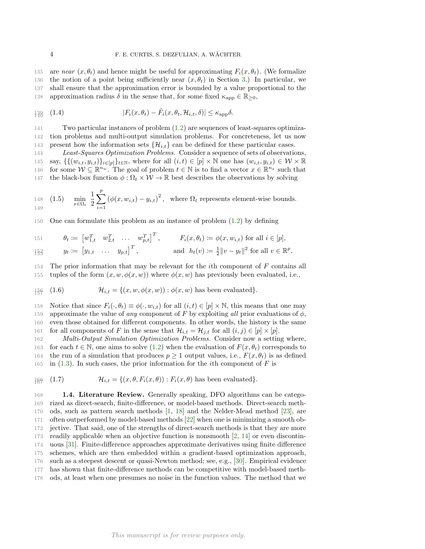135 are near  $(x, \theta_t)$  and hence might be useful for approximating  $F_i(x, \theta_t)$ . (We formalize 136 the notion of a point being sufficiently near  $(x, \theta_t)$  in Section 3.) In particular, we 137 shall ensure that the approximation error is bounded by a value proportional to the 138 approximation radius  $\delta$  in the sense that, for some fixed  $\kappa_{\text{app}} \in \mathbb{R}_{\geq 0}$ ,

$$
\mathbb{H}^3_{40} \quad (1.4) \qquad \qquad |F_i(x, \theta_t) - \tilde{F}_i(x, \theta_t, \mathcal{H}_{i,t}, \delta)| \leq \kappa_{\rm app} \delta.
$$

141 Two particular instances of problem (1.2) are sequences of least-squares optimiza-142 tion problems and multi-output simulation problems. For concreteness, let us now 143 present how the information sets  $\{\mathcal{H}_{i,t}\}$  can be defined for these particular cases.<br>144 Least-Squares Optimization Problems. Consider a sequence of sets of observation

Least-Squares Optimization Problems. Consider a sequence of sets of observations, 145 say,  $\{\{(w_{i,t}, y_{i,t})\}_{i\in[p]}\}_{t\in\mathbb{N}}$ , where for all  $(i, t) \in [p] \times \mathbb{N}$  one has  $(w_{i,t}, y_{i,t}) \in \mathcal{W} \times \mathbb{R}$ <br>146 for some  $\mathcal{W} \subseteq \mathbb{R}^{n_w}$ . The goal of problem  $t \in \mathbb{N}$  is to find a vector  $x \in \mathbb{R}^{n_x}$  suc 146 for some  $W \subseteq \mathbb{R}^{n_w}$ . The goal of problem  $t \in \mathbb{N}$  is to find a vector  $x \in \mathbb{R}^{n_x}$  such that 147 the black-box function  $\phi : \Omega_t \times \mathcal{W} \to \mathbb{R}$  best describes the observations by solving

148 (1.5) 
$$
\min_{x \in \Omega_t} \frac{1}{2} \sum_{i=1}^p (\phi(x, w_{i,t}) - y_{i,t})^2
$$
, where  $\Omega_t$  represents element-wise bounds.

150 One can formulate this problem as an instance of problem (1.2) by defining

151 
$$
\theta_t := [w_{1,t}^T \quad w_{2,t}^T \quad \dots \quad w_{p,t}^T]^T
$$
,  $F_i(x, \theta_t) := \phi(x, w_{i,t})$  for all  $i \in [p]$ ,  
\n $\frac{153}{153}$   $y_t := [y_{1,t} \quad \dots \quad y_{p,t}]^T$ , and  $h_t(v) := \frac{1}{2} ||v - y_t||^2$  for all  $v \in \mathbb{R}^p$ .

 $154$  The prior information that may be relevant for the *i*th component of  $F$  contains all 155 tuples of the form  $(x, w, \phi(x, w))$  where  $\phi(x, w)$  has previously been evaluated, i.e.,

$$
\text{if } (1.6) \quad \mathcal{H}_{i,t} = \{(x,w,\phi(x,w)) : \phi(x,w) \text{ has been evaluated}\}.
$$

158 Notice that since  $F_i(\cdot, \theta_t) \equiv \phi(\cdot, w_{i,t})$  for all  $(i, t) \in [p] \times \mathbb{N}$ , this means that one may 159 approximate the value of any component of F by exploiting all prior evaluations of  $\phi$ , 160 even those obtained for different components. In other words, the history is the same 161 for all components of F in the sense that  $\mathcal{H}_{i,t} = \mathcal{H}_{j,t}$  for all  $(i,j) \in [p] \times [p]$ .<br>162 *Multi-Output Simulation Optimization Problems.* Consider now a setting

Multi-Output Simulation Optimization Problems. Consider now a setting where, 163 for each  $t \in \mathbb{N}$ , one aims to solve (1.2) when the evaluation of  $F(x, \theta_t)$  corresponds to 164 the run of a simulation that produces  $p \ge 1$  output values, i.e.,  $F(x, \theta_t)$  is as defined 165 in (1.3). In such cases, the prior information for the *i*th component of F is in  $(1.3)$ . In such cases, the prior information for the *i*th component of F is

$$
\text{186} \quad (1.7) \quad \mathcal{H}_{i,t} = \{ (x, \theta, F_i(x, \theta)) : F_i(x, \theta) \text{ has been evaluated} \}.
$$

 1.4. Literature Review. Generally speaking, DFO algorithms can be catego- rized as direct-search, finite-difference, or model-based methods. Direct-search meth- ods, such as pattern search methods [1, 18] and the Nelder-Mead method [23], are often outperformed by model-based methods [22] when one is minimizing a smooth ob- jective. That said, one of the strengths of direct-search methods is that they are more readily applicable when an objective function is nonsmooth [2, 14] or even discontin- uous [31]. Finite-difference approaches approximate derivatives using finite difference schemes, which are then embedded within a gradient-based optimization approach, such as a steepest descent or quasi-Newton method; see, e.g., [30]. Empirical evidence has shown that finite-difference methods can be competitive with model-based meth-ods, at least when one presumes no noise in the function values. The method that we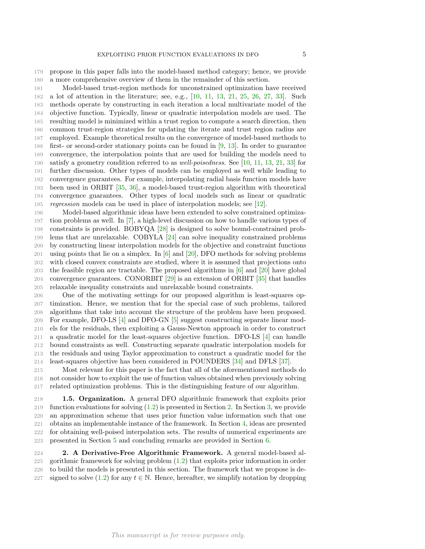propose in this paper falls into the model-based method category; hence, we provide a more comprehensive overview of them in the remainder of this section.

 Model-based trust-region methods for unconstrained optimization have received 182 a lot of attention in the literature; see, e.g., [10, 11, 13, 21, 25, 26, 27, 33]. Such methods operate by constructing in each iteration a local multivariate model of the objective function. Typically, linear or quadratic interpolation models are used. The resulting model is minimized within a trust region to compute a search direction, then common trust-region strategies for updating the iterate and trust region radius are employed. Example theoretical results on the convergence of model-based methods to first- or second-order stationary points can be found in [9, 13]. In order to guarantee convergence, the interpolation points that are used for building the models need to satisfy a geometry condition referred to as well-poisedness. See [10, 11, 13, 21, 33] for further discussion. Other types of models can be employed as well while leading to convergence guarantees. For example, interpolating radial basis function models have been used in ORBIT [35, 36], a model-based trust-region algorithm with theoretical convergence guarantees. Other types of local models such as linear or quadratic regression models can be used in place of interpolation models; see [12].

 Model-based algorithmic ideas have been extended to solve constrained optimiza- tion problems as well. In [7], a high-level discussion on how to handle various types of constraints is provided. BOBYQA [28] is designed to solve bound-constrained prob- lems that are unrelaxable. COBYLA [24] can solve inequality constrained problems by constructing linear interpolation models for the objective and constraint functions 201 using points that lie on a simplex. In  $\lbrack 6 \rbrack$  and  $\lbrack 20 \rbrack$ , DFO methods for solving problems with closed convex constraints are studied, where it is assumed that projections onto the feasible region are tractable. The proposed algorithms in [6] and [20] have global convergence guarantees. CONORBIT [29] is an extension of ORBIT [35] that handles relaxable inequality constraints and unrelaxable bound constraints.

 One of the motivating settings for our proposed algorithm is least-squares op- timization. Hence, we mention that for the special case of such problems, tailored algorithms that take into account the structure of the problem have been proposed. For example, DFO-LS [4] and DFO-GN [5] suggest constructing separate linear mod- els for the residuals, then exploiting a Gauss-Newton approach in order to construct a quadratic model for the least-squares objective function. DFO-LS [4] can handle bound constraints as well. Constructing separate quadratic interpolation models for the residuals and using Taylor approximation to construct a quadratic model for the least-squares objective has been considered in POUNDERS [34] and DFLS [37].

 Most relevant for this paper is the fact that all of the aforementioned methods do not consider how to exploit the use of function values obtained when previously solving related optimization problems. This is the distinguishing feature of our algorithm.

 1.5. Organization. A general DFO algorithmic framework that exploits prior function evaluations for solving (1.2) is presented in Section 2. In Section 3, we provide an approximation scheme that uses prior function value information such that one obtains an implementable instance of the framework. In Section 4, ideas are presented for obtaining well-poised interpolation sets. The results of numerical experiments are presented in Section 5 and concluding remarks are provided in Section 6.

 2. A Derivative-Free Algorithmic Framework. A general model-based al- gorithmic framework for solving problem (1.2) that exploits prior information in order to build the models is presented in this section. The framework that we propose is de-227 signed to solve (1.2) for any  $t \in \mathbb{N}$ . Hence, hereafter, we simplify notation by dropping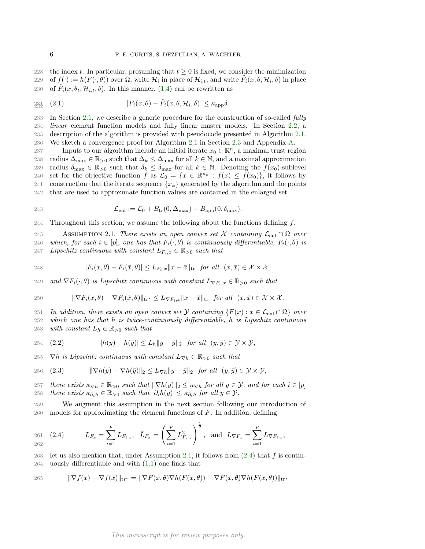228 the index t. In particular, presuming that  $t \geq 0$  is fixed, we consider the minimization 229 of  $f(\cdot) := h(F(\cdot, \theta))$  over  $\Omega$ , write  $\mathcal{H}_i$  in place of  $\mathcal{H}_{i,t}$ , and write  $\tilde{F}_i(x, \theta, \mathcal{H}_i, \delta)$  in place 230 of  $\tilde{F}_i(x, \theta_t, \mathcal{H}_{i,t}, \delta)$ . In this manner, (1.4) can be rewritten as

$$
\mathbb{E}_{32}^{31} \quad (2.1) \quad |F_i(x, \theta) - \tilde{F}_i(x, \theta, \mathcal{H}_i, \delta)| \leq \kappa_{\text{app}} \delta.
$$

 In Section 2.1, we describe a generic procedure for the construction of so-called fully linear element function models and fully linear master models. In Section 2.2, a description of the algorithm is provided with pseudocode presented in Algorithm 2.1. We sketch a convergence proof for Algorithm 2.1 in Section 2.3 and Appendix A.

137 Inputs to our algorithm include an initial iterate  $x_0 \in \mathbb{R}^n$ , a maximal trust region 238 radius  $\Delta_{\text{max}} \in \mathbb{R}_{>0}$  such that  $\Delta_k \leq \Delta_{\text{max}}$  for all  $k \in \mathbb{N}$ , and a maximal approximation radius  $\delta_{\text{max}} \in \mathbb{R}_{>0}$  such that  $\delta_k \leq \delta_{\text{max}}$  for all  $k \in \mathbb{N}$ . Denoting the  $f(x_0)$ -sublevel 239 radius  $\delta_{\max} \in \mathbb{R}_{>0}$  such that  $\delta_k \leq \delta_{\max}$  for all  $k \in \mathbb{N}$ . Denoting the  $f(x_0)$ -sublevel 240 set for the objective function  $f$  as  $\mathcal{L}_0 = \{x \in \mathbb{R}^{n_x} : f(x) \leq f(x_0)\}$ , it follows by 240 set for the objective function f as  $\mathcal{L}_0 = \{x \in \mathbb{R}^{n_x} : f(x) \le f(x_0)\}\)$ , it follows by 241 construction that the iterate sequence  ${x_k}$  generated by the algorithm and the points 242 that are used to approximate function values are contained in the enlarged set 242 that are used to approximate function values are contained in the enlarged set

243 
$$
\mathcal{L}_{\text{enl}} := \mathcal{L}_0 + B_{\text{tr}}(0, \Delta_{\text{max}}) + B_{\text{app}}(0, \delta_{\text{max}}).
$$

244 Throughout this section, we assume the following about the functions defining  $f$ .

245 ASSUMPTION 2.1. There exists an open convex set X containing  $\mathcal{L}_{en1} \cap \Omega$  over<br>246 which, for each  $i \in [n]$ , one has that  $F_i(\cdot, \theta)$  is continuously differentiable.  $F_i(\cdot, \theta)$  is 246 which, for each  $i \in [p]$ , one has that  $F_i(\cdot, \theta)$  is continuously differentiable,  $F_i(\cdot, \theta)$  is 247 Linschitz continuous with constant  $L_{F_i, \pi} \in \mathbb{R}_{\geq 0}$  such that Lipschitz continuous with constant  $L_{F_i,x} \in \mathbb{R}_{>0}$  such that

248 
$$
|F_i(x,\theta)-F_i(\bar{x},\theta)|\leq L_{F_i,x}||x-\bar{x}||_{\text{tr}} \text{ for all } (x,\bar{x})\in\mathcal{X}\times\mathcal{X},
$$

249 and  $\nabla F_i(\cdot, \theta)$  is Lipschitz continuous with constant  $L_{\nabla F_i, x} \in \mathbb{R}_{\geq 0}$  such that

250 
$$
\|\nabla F_i(x,\theta) - \nabla F_i(\bar{x},\theta)\|_{\text{tr}^*} \leq L_{\nabla F_i,x} \|x - \bar{x}\|_{\text{tr}} \text{ for all } (x,\bar{x}) \in \mathcal{X} \times \mathcal{X}.
$$

251 In addition, there exists an open convex set  $\mathcal Y$  containing  $\{F(x) : x \in \mathcal L_{enl} \cap \Omega\}$  over<br>252 which one has that h is twice-continuously differentiable, h is Lipschitz continuous which one has that  $h$  is twice-continuously differentiable,  $h$  is Lipschitz continuous 253 with constant  $L_h \in \mathbb{R}_{>0}$  such that

254 (2.2) 
$$
|h(y) - h(\bar{y})| \le L_h \|y - \bar{y}\|_2 \text{ for all } (y, \bar{y}) \in \mathcal{Y} \times \mathcal{Y},
$$

255  $\nabla h$  is Lipschitz continuous with constant  $L_{\nabla h} \in \mathbb{R}_{>0}$  such that

256 (2.3) 
$$
\|\nabla h(y) - \nabla h(\bar{y})\|_2 \le L_{\nabla h} \|y - \bar{y}\|_2 \text{ for all } (y, \bar{y}) \in \mathcal{Y} \times \mathcal{Y},
$$

257 there exists  $\kappa_{\nabla h} \in \mathbb{R}_{>0}$  such that  $\|\nabla h(y)\|_2 \leq \kappa_{\nabla h}$  for all  $y \in \mathcal{Y}$ , and for each  $i \in [p]$ <br>258 there exists  $\kappa_{\partial h} \in \mathbb{R}_{>0}$  such that  $|\partial_t h(y)| \leq \kappa_{\partial h}$  for all  $y \in \mathcal{Y}$ . there exists  $\kappa_{\partial_i h} \in \mathbb{R}_{>0}$  such that  $|\partial_i h(y)| \leq \kappa_{\partial_i h}$  for all  $y \in \mathcal{Y}$ .

259 We augment this assumption in the next section following our introduction of  $260$  models for approximating the element functions of  $F$ . In addition, defining

261 (2.4) 
$$
L_{F_x} = \sum_{i=1}^p L_{F_{i,x}}, \quad \bar{L}_{F_x} = \left(\sum_{i=1}^p L_{F_{i,x}}^2\right)^{\frac{1}{2}}, \text{ and } L_{\nabla F_x} = \sum_{i=1}^p L_{\nabla F_{i,x}},
$$

263 let us also mention that, under Assumption 2.1, it follows from  $(2.4)$  that f is contin-264 uously differentiable and with (1.1) one finds that

265 
$$
\|\nabla f(x) - \nabla f(\bar{x})\|_{\text{tr}^*} = \|\nabla F(x,\theta)\nabla h(F(x,\theta)) - \nabla F(\bar{x},\theta)\nabla h(F(\bar{x},\theta))\|_{\text{tr}^*}
$$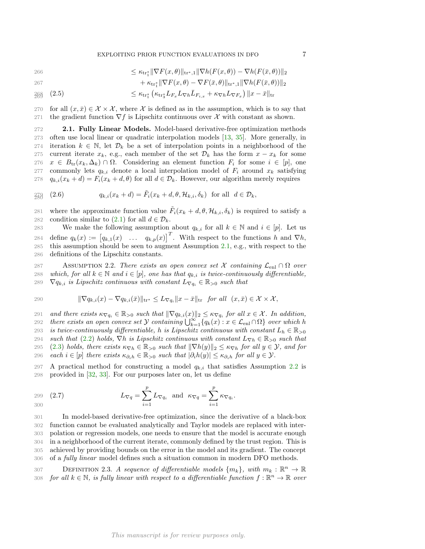EXPLOITING PRIOR FUNCTION EVALUATIONS IN DFO 7

$$
\leq \kappa_{\mathrm{tr}_1^*} \|\nabla F(x,\theta)\|_{\mathrm{tr}^*,1} \|\nabla h(F(x,\theta)) - \nabla h(F(\bar{x},\theta))\|_2
$$

$$
+ \kappa_{\text{tr}_1^*} \|\nabla F(x,\theta) - \nabla F(\bar{x},\theta)\|_{\text{tr}^*,1} \|\nabla h(F(\bar{x},\theta))\|_2
$$

$$
268 \quad (2.5)
$$
\n
$$
\leq \kappa_{\text{tr}_1^*} \left( \kappa_{\text{tr}_3^*} L_{F_x} L_{\nabla h} \bar{L}_{F_{i,x}} + \kappa_{\nabla h} L_{\nabla F_x} \right) \|x - \bar{x}\|_{\text{tr}}
$$

270 for all  $(x, \bar{x}) \in \mathcal{X} \times \mathcal{X}$ , where X is defined as in the assumption, which is to say that  $271$  the gradient function  $\nabla f$  is Lipschitz continuous over X with constant as shown. the gradient function  $\nabla f$  is Lipschitz continuous over X with constant as shown.

272 2.1. Fully Linear Models. Model-based derivative-free optimization methods 273 often use local linear or quadratic interpolation models [13, 35]. More generally, in 274 iteration  $k \in \mathbb{N}$ , let  $\mathcal{D}_k$  be a set of interpolation points in a neighborhood of the 275 current iterate  $x_k$ , e.g., each member of the set  $\mathcal{D}_k$  has the form  $x - x_k$  for some  $x \in B_{tr}(x_k, \Delta_k) \cap \Omega$ . Considering an element function  $F_i$  for some  $i \in [n]$ , one 276  $x \in B_{tr}(x_k, \Delta_k) \cap \Omega$ . Considering an element function  $F_i$  for some  $i \in [p]$ , one 277 commonly lets  $a_{ki}$  denote a local interpolation model of  $F_i$  around  $x_{ki}$  satisfying commonly lets  $q_{k,i}$  denote a local interpolation model of  $F_i$  around  $x_k$  satisfying 278  $q_{k,i}(x_k + d) = F_i(x_k + d, \theta)$  for all  $d \in \mathcal{D}_k$ . However, our algorithm merely requires

$$
q_{k,i}(x_k + d) = \tilde{F}_i(x_k + d, \theta, \mathcal{H}_{k,i}, \delta_k) \text{ for all } d \in \mathcal{D}_k,
$$

281 where the approximate function value  $\tilde{F}_i(x_k + d, \theta, \mathcal{H}_{k,i}, \delta_k)$  is required to satisfy a 282 condition similar to (2.1) for all  $d \in \mathcal{D}_k$ .<br>283 We make the following assumption

We make the following assumption about  $q_{k,i}$  for all  $k \in \mathbb{N}$  and  $i \in [p]$ . Let us 284 define  $q_k(x) := [q_{k,1}(x) \dots q_{k,p}(x)]^T$ . With respect to the functions h and  $\nabla h$ , 285 this assumption should be seen to augment Assumption 2.1, e.g., with respect to the 286 definitions of the Lipschitz constants.

287 ASSUMPTION 2.2. There exists an open convex set X containing  $\mathcal{L}_{en1} \cap \Omega$  over<br>288 which, for all  $k \in \mathbb{N}$  and  $i \in [p]$ , one has that  $a_k$ , is twice-continuously differentiable. 288 which, for all  $k \in \mathbb{N}$  and  $i \in [p]$ , one has that  $q_{k,i}$  is twice-continuously differentiable,<br>289  $\nabla q_{k,i}$  is Lipschitz continuous with constant  $L_{\nabla a} \in \mathbb{R}_{\geq 0}$  such that  $\nabla q_{k,i}$  is Lipschitz continuous with constant  $L_{\nabla q_i} \in \mathbb{R}_{\geq 0}$  such that

290 
$$
\|\nabla q_{k,i}(x) - \nabla q_{k,i}(\bar{x})\|_{\text{tr}^*} \leq L_{\nabla q_i} \|x - \bar{x}\|_{\text{tr}} \text{ for all } (x,\bar{x}) \in \mathcal{X} \times \mathcal{X},
$$

291 and there exists  $\kappa_{\nabla q_i} \in \mathbb{R}_{>0}$  such that  $\|\nabla q_{k,i}(x)\|_2 \leq \kappa_{\nabla q_i}$  for all  $x \in \mathcal{X}$ . In addition, 292 there exists an open convex set  $\mathcal Y$  containing  $\bigcup_{k=1}^{\infty} \{q_k(x) : x \in \mathcal L_{enl} \cap \Omega\}$  over which h 293 is twice-continuously differentiable, h is Lipschitz continuous with constant  $L_h \in \mathbb{R}_{>0}$ <br>294 such that (2.2) holds.  $\nabla h$  is Lipschitz continuous with constant  $L_{\nabla h} \in \mathbb{R}_{>0}$  such that 294 such that (2.2) holds,  $\nabla h$  is Lipschitz continuous with constant  $L_{\nabla h} \in \mathbb{R}_{>0}$  such that  $||\nabla h(y)||_2 \leq \kappa_{\nabla h}$  for all  $y \in \mathcal{Y}$ , and for 295 (2.3) holds, there exists  $\kappa_{\nabla h} \in \mathbb{R}_{>0}$  such that  $\|\nabla h(y)\|_2 \leq \kappa_{\nabla h}$  for all  $y \in \mathcal{Y}$ , and for <br>296 each  $i \in [n]$  there exists  $\kappa_{\partial,h} \in \mathbb{R}_{>0}$  such that  $|\partial_h h(y)| \leq \kappa_{\partial,h}$  for all  $y \in \mathcal{Y$ each  $i \in [p]$  there exists  $\kappa_{\partial_i h} \in \mathbb{R}_{>0}$  such that  $|\partial_i h(y)| \leq \kappa_{\partial_i h}$  for all  $y \in \mathcal{Y}$ .

297 A practical method for constructing a model  $q_{k,i}$  that satisfies Assumption 2.2 is 298 provided in [32, 33]. For our purposes later on, let us define

$$
L_{\nabla q} = \sum_{i=1}^{p} L_{\nabla q_i} \text{ and } \kappa_{\nabla q} = \sum_{i=1}^{p} \kappa_{\nabla q_i}.
$$

 In model-based derivative-free optimization, since the derivative of a black-box function cannot be evaluated analytically and Taylor models are replaced with inter- polation or regression models, one needs to ensure that the model is accurate enough in a neighborhood of the current iterate, commonly defined by the trust region. This is achieved by providing bounds on the error in the model and its gradient. The concept of a fully linear model defines such a situation common in modern DFO methods.

DEFINITION 2.3. A sequence of differentiable models  $\{m_k\}$ , with  $m_k : \mathbb{R}^n \to \mathbb{R}$ <br>308 for all  $k \in \mathbb{N}$ , is fully linear with respect to a differentiable function  $f : \mathbb{R}^n \to \mathbb{R}$  over for all  $k \in \mathbb{N}$ , is fully linear with respect to a differentiable function  $f : \mathbb{R}^n \to \mathbb{R}$  over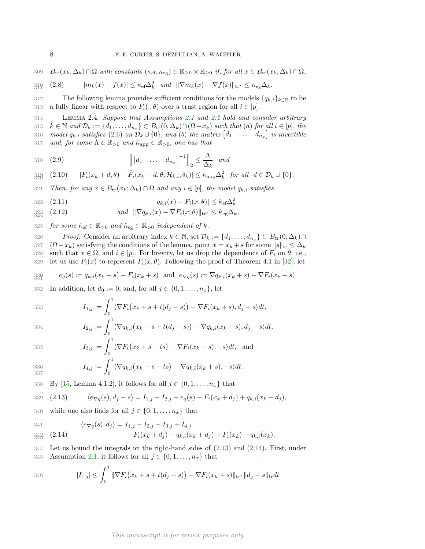309  $B_{\text{tr}}(x_k, \Delta_k) \cap \Omega$  with constants  $(\kappa_{\text{ef}}, \kappa_{\text{eg}}) \in \mathbb{R}_{\geq 0} \times \mathbb{R}_{\geq 0}$  if, for all  $x \in B_{\text{tr}}(x_k, \Delta_k) \cap \Omega$ ,

$$
\mathbf{R} = \frac{1}{2} \mathbf{R} \quad (2.8) \qquad |m_k(x) - f(x)| \leq \kappa_{\text{ef}} \Delta_k^2 \quad \text{and} \quad \|\nabla m_k(x) - \nabla f(x)\|_{\text{tr}^*} \leq \kappa_{\text{eg}} \Delta_k.
$$

312 The following lemma provides sufficient conditions for the models  $\{q_{k,i}\}_{k\in\mathbb{N}}$  to be 313 a fully linear with respect to  $F_i(\cdot,\theta)$  over a trust region for all  $i \in [p]$ . a fully linear with respect to  $F_i(\cdot, \theta)$  over a trust region for all  $i \in [p]$ .

314 Lemma 2.4. Suppose that Assumptions 2.1 and 2.2 hold and consider arbitrary 315  $k \in \mathbb{N}$  and  $\mathcal{D}_k := \{d_1, \ldots, d_{n_x}\} \subset B_{tr}(0, \Delta_k) \cap (\Omega - x_k)$  such that (a) for all  $i \in [p]$ , the 316 model  $q_{k,i}$  satisfies  $(2.6)$  on  $\mathcal{D}_k \cup \{0\}$ , and  $(b)$  the matrix  $\begin{bmatrix} d_1 & \dots & d_{n_x} \end{bmatrix}$  is invertible 317 and, for some  $\Lambda \in \mathbb{R}_{>0}$  and  $\bar{\kappa}_{app} \in \mathbb{R}_{>0}$ , one has that

$$
318 \quad (2.9) \qquad \qquad \left\| \begin{bmatrix} d_1 & \dots & d_{n_x} \end{bmatrix}^{-1} \right\|_2 \le \frac{\Lambda}{\Delta_k} \quad and
$$

$$
\mathbf{R}_{29}^{34} \quad (2.10) \qquad |F_i(x_k + d, \theta) - \tilde{F}_i(x_k + d, \theta, \mathcal{H}_{k,i}, \delta_k)| \leq \bar{\kappa}_{\mathrm{app}} \Delta_k^2 \quad \text{for all} \quad d \in \mathcal{D}_k \cup \{0\}.
$$

321 Then, for any  $x \in B_{tr}(x_k; \Delta_k) \cap \Omega$  and any  $i \in [p]$ , the model  $q_{k,i}$  satisfies

322 (2.11) 
$$
|q_{k,i}(x) - F_i(x,\theta)| \leq \hat{\kappa}_{\text{ef}} \Delta_k^2
$$

$$
\lim_{324} (2.12) \qquad \qquad \text{and} \quad \|\nabla q_{k,i}(x) - \nabla F_i(x,\theta)\|_{\text{tr}^*} \leq \hat{\kappa}_{\text{eg}} \Delta_k,
$$

325 for some  $\hat{\kappa}_{\text{ef}} \in \mathbb{R}_{>0}$  and  $\hat{\kappa}_{\text{eg}} \in \mathbb{R}_{>0}$  independent of k.

326 Proof. Consider an arbitrary index  $k \in \mathbb{N}$ , set  $\mathcal{D}_k := \{d_1, \ldots, d_{n_x}\} \subset B_{tr}(0, \Delta_k) \cap$ 327 ( $\Omega - x_k$ ) satisfying the conditions of the lemma, point  $x = x_k + s$  for some  $||s||_{tr} \leq \Delta_k$ 328 such that  $x \in \Omega$ , and  $i \in [p]$ . For brevity, let us drop the dependence of  $F_i$  on  $\theta$ ; i.e., 329 let us use  $F_i(x)$  to represent  $F_i(x, \theta)$ . Following the proof of Theorem 4.1 in [32], let let us use  $F_i(x)$  to represent  $F_i(x, \theta)$ . Following the proof of Theorem 4.1 in [32], let

$$
\lim_{330} e_q(s) := q_{k,i}(x_k + s) - F_i(x_k + s) \text{ and } e_{\nabla q}(s) := \nabla q_{k,i}(x_k + s) - \nabla F_i(x_k + s).
$$

332 In addition, let  $d_0 := 0$ , and, for all  $j \in \{0, 1, \ldots, n_x\}$ , let

333 
$$
I_{1,j} := \int_0^1 \langle \nabla F_i(x_k + s + t(d_j - s)) - \nabla F_i(x_k + s), d_j - s \rangle dt,
$$

334 
$$
I_{2,j} := \int_0^1 \langle \nabla q_{k,i} (x_k + s + t(d_j - s)) - \nabla q_{k,i} (x_k + s), d_j - s \rangle dt,
$$

$$
I_{3,j} := \int_0^1 \langle \nabla F_i(x_k + s - ts) - \nabla F_i(x_k + s), -s \rangle dt, \text{ and}
$$

$$
I_{4,j} := \int_0^1 \langle \nabla q_{k,i} (x_k + s - ts) - \nabla q_{k,i} (x_k + s), -s \rangle dt.
$$

338 By [15, Lemma 4.1.2], it follows for all 
$$
j \in \{0, 1, \ldots, n_x\}
$$
 that

339 (2.13) 
$$
\langle e_{\nabla q}(s), d_j - s \rangle = I_{1,j} - I_{2,j} - e_q(s) - F_i(x_k + d_j) + q_{k,i}(x_k + d_j),
$$

340 while one also finds for all  $j \in \{0, 1, \ldots, n_x\}$  that

 $I_{4,j} \coloneqq$ 

341 
$$
\langle e_{\nabla q}(s), d_j \rangle = I_{1,j} - I_{2,j} - I_{3,j} + I_{4,j}
$$

$$
\mathfrak{Z}_{43}^{42} \quad (2.14) \qquad \qquad -F_i(x_k+d_j)+q_{k,i}(x_k+d_j)+F_i(x_k)-q_{k,i}(x_k).
$$

344 Let us bound the integrals on the right-hand sides of (2.13) and (2.14). First, under 345 Assumption 2.1, it follows for all  $j \in \{0, 1, \ldots, n_x\}$  that

346 
$$
|I_{1,j}| \leq \int_0^1 \|\nabla F_i(x_k + s + t(d_j - s)) - \nabla F_i(x_k + s)\|_{\text{tr}^*} \|d_j - s\|_{\text{tr}} dt
$$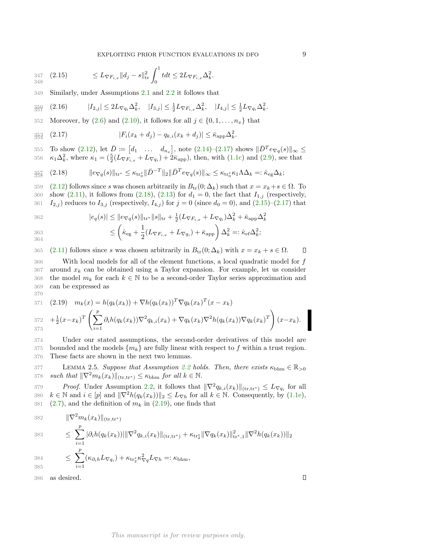EXPLOITING PRIOR FUNCTION EVALUATIONS IN DFO 9

$$
347 \quad (2.15) \qquad \leq L_{\nabla F_{i,x}} \|d_j - s\|_{\text{tr}}^2 \int_0^1 t dt \leq 2L_{\nabla F_{i,x}} \Delta_k^2.
$$

349 Similarly, under Assumptions 2.1 and 2.2 it follows that

$$
\mathbf{35} \mathbf{[} \quad (2.16) \qquad |I_{2,j}| \leq 2L_{\nabla q_i} \Delta_k^2, \quad |I_{3,j}| \leq \frac{1}{2}L_{\nabla F_{i,x}} \Delta_k^2, \quad |I_{4,j}| \leq \frac{1}{2}L_{\nabla q_i} \Delta_k^2.
$$

352 Moreover, by  $(2.6)$  and  $(2.10)$ , it follows for all  $j \in \{0, 1, \ldots, n_x\}$  that

$$
\mathcal{E}_{354}^{354} \quad (2.17) \quad |F_i(x_k + d_j) - q_{k,i}(x_k + d_j)| \le \bar{\kappa}_{\rm app} \Delta_k^2.
$$

355 To show  $(2.12)$ , let  $\bar{D} = [d_1 \dots d_{n_x}]$ , note  $(2.14)-(2.17)$  shows  $\|\bar{D}^T e_{\nabla q}(s)\|_{\infty} \leq$ 356  $\kappa_1 \Delta_k^2$ , where  $\kappa_1 = (\frac{5}{2}(L_{\nabla F_{i,x}} + L_{\nabla q_i}) + 2\bar{\kappa}_{app})$ , then, with (1.1c) and (2.9), see that

$$
\mathbf{1}_{35\%}^{\frac{1}{2}} \quad (2.18) \qquad \|\mathbf{e}_{\nabla q}(s)\|_{\text{tr}^*} \leq \kappa_{\text{tr}_0^*} \|\bar{D}^{-T}\|_2 \|\bar{D}^T \mathbf{e}_{\nabla q}(s)\|_{\infty} \leq \kappa_{\text{tr}_0^*} \kappa_1 \Lambda \Delta_k =: \hat{\kappa}_{\text{eg}} \Delta_k;
$$

359 (2.12) follows since s was chosen arbitrarily in  $B_{tr}(0; \Delta_k)$  such that  $x = x_k + s \in \Omega$ . To show (2.11), it follows from (2.18), (2.13) for  $d_1 = 0$ , the fact that  $I_{1,j}$  (respectively, show (2.11), it follows from (2.18), (2.13) for  $d_1 = 0$ , the fact that  $I_{1,j}$  (respectively, 361  $I_{2,j}$  reduces to  $I_{3,j}$  (respectively,  $I_{4,j}$ ) for  $j = 0$  (since  $d_0 = 0$ ), and  $(2.15)-(2.17)$  that

$$
|e_q(s)| \le ||e_{\nabla q}(s)||_{\text{tr}^*} ||s||_{\text{tr}} + \frac{1}{2}(L_{\nabla F_{i,x}} + L_{\nabla q_i})\Delta_k^2 + \bar{\kappa}_{\text{app}}\Delta_k^2
$$
  
363  
364  

$$
\le \left(\hat{\kappa}_{\text{eg}} + \frac{1}{2}(L_{\nabla F_{i,x}} + L_{\nabla q_i}) + \bar{\kappa}_{\text{app}}\right)\Delta_k^2 =: \hat{\kappa}_{\text{ef}}\Delta_k^2;
$$

365 (2.11) follows since s was chosen arbitrarily in  $B_{tr}(0; \Delta_k)$  with  $x = x_k + s \in \Omega$ .  $\Box$ 

366 With local models for all of the element functions, a local quadratic model for f  $367$  around  $x_k$  can be obtained using a Taylor expansion. For example, let us consider 368 the model  $m_k$  for each  $k \in \mathbb{N}$  to be a second-order Taylor series approximation and can be expressed as can be expressed as

371 (2.19) 
$$
m_k(x) = h(q_k(x_k)) + \nabla h(q_k(x_k))^T \nabla q_k(x_k)^T (x - x_k)
$$
  
\n372  $+ \frac{1}{2} (x - x_k)^T \left( \sum_{i=1}^p \partial_i h(q_k(x_k)) \nabla^2 q_{k,i}(x_k) + \nabla q_k(x_k) \nabla^2 h(q_k(x_k)) \nabla q_k(x_k)^T \right) (x - x_k).$ 

374 Under our stated assumptions, the second-order derivatives of this model are 375 bounded and the models  $\{m_k\}$  are fully linear with respect to f within a trust region. 376 These facts are shown in the next two lemmas.

377 LEMMA 2.5. Suppose that Assumption 2.2 holds. Then, there exists  $\kappa_{\text{bhm}} \in \mathbb{R}_{>0}$ <br>378 such that  $\|\nabla^2 m_k(x_k)\|_{(\text{tr,tr})} \leq \kappa_{\text{bhm}}$  for all  $k \in \mathbb{N}$ . such that  $\|\nabla^2m_k(x_k)\|_{(\text{tr},\text{tr}^*)} \leq \kappa_{\text{bhm}}$  for all  $k \in \mathbb{N}$ .

379 *Proof.* Under Assumption 2.2, it follows that  $\|\nabla^2 q_{k,i}(x_k)\|_{(\text{tr},\text{tr}^*)} \leq L_{\nabla q_i}$  for all 380  $k \in \mathbb{N}$  and  $i \in [p]$  and  $\|\nabla^2 h(q_k(x_k))\|_2 \leq L_{\nabla h}$  for all  $k \in \mathbb{N}$ . Consequently, by (1.1e), 381 (2.7), and the definition of  $m_k$  in (2.19), one finds that

382 
$$
\|\nabla^2 m_k(x_k)\|_{(\text{tr},\text{tr}^*)}
$$
  
\n383 
$$
\leq \sum_{i=1}^p |\partial_i h(q_k(x_k))| \|\nabla^2 q_{k,i}(x_k)\|_{(\text{tr},\text{tr}^*)} + \kappa_{\text{tr}_2^*} \|\nabla q_k(x_k)\|_{\text{tr}^*,1}^2 \|\nabla^2 h(q_k(x_k))\|_2
$$
  
\n384 
$$
\leq \sum_{i=1}^p (\kappa_{\partial_i h} L_{\nabla q_i}) + \kappa_{\text{tr}_2^*} \kappa_{\nabla q}^2 L_{\nabla h} =: \kappa_{\text{bhm}},
$$

386 as desired.

370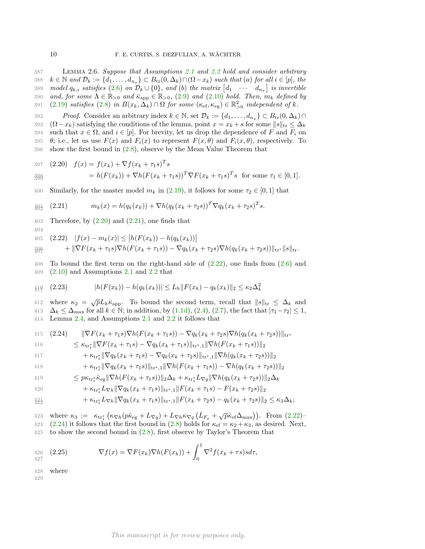387 Lemma 2.6. Suppose that Assumptions 2.1 and 2.2 hold and consider arbitrary 388  $k \in \mathbb{N}$  and  $\mathcal{D}_k := \{d_1, \ldots, d_{n_x}\} \subset B_{tr}(0, \Delta_k) \cap (\Omega - x_k)$  such that (a) for all  $i \in [p]$ , the 389 model  $q_{k,i}$  satisfies  $(2.6)$  on  $\mathcal{D}_k \cup \{0\}$ , and  $(b)$  the matrix  $\begin{bmatrix} d_1 & \cdots & d_{n_x} \end{bmatrix}$  is invertible 390 and, for some  $\Lambda \in \mathbb{R}_{>0}$  and  $\bar{\kappa}_{app} \in \mathbb{R}_{>0}$ , (2.9) and (2.10) hold. Then,  $m_k$  defined by 391 (2.19) satisfies (2.8) in  $B(x_k, \Delta_k) \cap \Omega$  for some  $(\kappa_{\text{ef}}, \kappa_{\text{eg}}) \in \mathbb{R}^2_{>0}$  independent of k.

392 Proof. Consider an arbitrary index  $k \in \mathbb{N}$ , set  $\mathcal{D}_k := \{d_1, \ldots, d_{n_x}\} \subset B_{tr}(0, \Delta_k) \cap$ 393 ( $\Omega - x_k$ ) satisfying the conditions of the lemma, point  $x = x_k + s$  for some  $||s||_{\text{tr}} \leq \Delta_k$ <br>394 such that  $x \in \Omega$ , and  $i \in [p]$ . For brevity, let us drop the dependence of F and F<sub>i</sub> on 394 such that  $x \in \Omega$ , and  $i \in [p]$ . For brevity, let us drop the dependence of F and  $F_i$  on 395  $\theta$ ; i.e., let us use  $F(x)$  and  $F_i(x)$  to represent  $F(x, \theta)$  and  $F_i(x, \theta)$ , respectively. To  $\theta$ ; i.e., let us use  $F(x)$  and  $F_i(x)$  to represent  $F(x, \theta)$  and  $F_i(x, \theta)$ , respectively. To 396 show the first bound in (2.8), observe by the Mean Value Theorem that

397 (2.20) 
$$
f(x) = f(x_k) + \nabla f(x_k + \tau_1 s)^T s
$$
  
\n398 
$$
= h(F(x_k)) + \nabla h(F(x_k + \tau_1 s))^T \nabla F(x_k + \tau_1 s)^T s \text{ for some } \tau_1 \in [0, 1].
$$

400 Similarly, for the master model  $m_k$  in (2.19), it follows for some  $\tau_2 \in [0,1]$  that

$$
\mathcal{H}_{\mathcal{L}}^1 \quad (2.21) \qquad m_k(x) = h(q_k(x_k)) + \nabla h(q_k(x_k + \tau_2 s))^T \nabla q_k(x_k + \tau_2 s)^T s.
$$

403 Therefore, by  $(2.20)$  and  $(2.21)$ , one finds that

404

405 (2.22) 
$$
|f(x) - m_k(x)| \le |h(F(x_k)) - h(q_k(x_k))|
$$

$$
\text{arg}\qquad \qquad +\|\nabla F(x_k+\tau_1 s)\nabla h(F(x_k+\tau_1 s))-\nabla q_k(x_k+\tau_2 s)\nabla h(q_k(x_k+\tau_2 s))\|_{\text{tr}^*}\|s\|_{\text{tr}}.
$$

408 To bound the first term on the right-hand side of (2.22), one finds from (2.6) and 409 (2.10) and Assumptions 2.1 and 2.2 that

$$
\text{(2.23)} \qquad |h(F(x_k)) - h(q_k(x_k))| \le L_h \|F(x_k) - q_k(x_k)\|_2 \le \kappa_2 \Delta_k^2
$$

412 where  $\kappa_2 = \sqrt{p}L_h\bar{\kappa}_{\text{app}}$ . To bound the second term, recall that  $||s||_{\text{tr}} \leq \Delta_k$  and 413  $\Delta_k \leq \Delta_{\text{max}}$  for all  $k \in \mathbb{N}$ ; in addition, by (1.1d), (2.4), (2.7), the fact that  $|\tau_1 - \tau_2| \leq 1$ , 414 Lemma 2.4, and Assumptions 2.1 and 2.2 it follows that Lemma 2.4, and Assumptions 2.1 and  $2.2$  it follows that

415 (2.24) 
$$
\|\nabla F(x_k + \tau_1 s) \nabla h(F(x_k + \tau_1 s)) - \nabla q_k (x_k + \tau_2 s) \nabla h(q_k (x_k + \tau_2 s))\|_{\text{tr}}.
$$

416 
$$
\leq \kappa_{\text{tr}_1^*} \|\nabla F(x_k + \tau_1 s) - \nabla q_k (x_k + \tau_1 s) \|_{\text{tr}^*, 1} \|\nabla h(F(x_k + \tau_1 s))\|_2
$$

417 
$$
+ \kappa_{\text{tr}_1^*} \|\nabla q_k(x_k + \tau_1 s) - \nabla q_k(x_k + \tau_2 s)\|_{\text{tr}^*, 1} \|\nabla h(q_k(x_k + \tau_2 s))\|_2
$$

418 
$$
+ \kappa_{\text{tr}_1^*} \|\nabla q_k(x_k + \tau_1 s)\|_{\text{tr}^*,1} \|\nabla h(F(x_k + \tau_1 s)) - \nabla h(q_k(x_k + \tau_2 s))\|_2
$$

419 
$$
\leq p\kappa_{\text{tr}_1^*}\hat{\kappa}_{\text{eg}}\|\nabla h(F(x_k+\tau_1 s))\|_2\Delta_k + \kappa_{\text{tr}_1^*}L_{\nabla q}\|\nabla h(q_k(x_k+\tau_2 s))\|_2\Delta_k
$$

420 
$$
+ \kappa_{\text{tr}_1^*} L_{\nabla h} \|\nabla q_k(x_k + \tau_1 s)\|_{\text{tr}^*,1} \|F(x_k + \tau_1 s) - F(x_k + \tau_2 s)\|_2
$$

$$
+ \kappa_{\text{tr}_1^*} L_{\nabla h} \|\nabla q_k(x_k + \tau_1 s)\|_{\text{tr}^*,1} \|F(x_k + \tau_2 s) - q_k(x_k + \tau_2 s)\|_2 \leq \kappa_3 \Delta_k;
$$

423 where  $\kappa_3 := \kappa_{\text{tr}_1^*} \left( \kappa_{\nabla h} (p \hat{\kappa}_{eg} + L_{\nabla q}) + L_{\nabla h} \kappa_{\nabla q} \left( \bar{L}_{F_x} + \sqrt{p} \hat{\kappa}_{ef} \Delta_{\text{max}} \right) \right)$ . From (2.22)-424 (2.24) it follows that the first bound in (2.8) holds for  $\kappa_{\rm ef} = \kappa_2 + \kappa_3$ , as desired. Next, 425 to show the second bound in  $(2.8)$ , first observe by Taylor's Theorem that

$$
\begin{aligned}\n\mathcal{L}_{426} \quad (2.25) \qquad \nabla f(x) &= \nabla F(x_k) \nabla h(F(x_k)) + \int_0^1 \nabla^2 f(x_k + \tau s) s d\tau,\n\end{aligned}
$$

428 where

429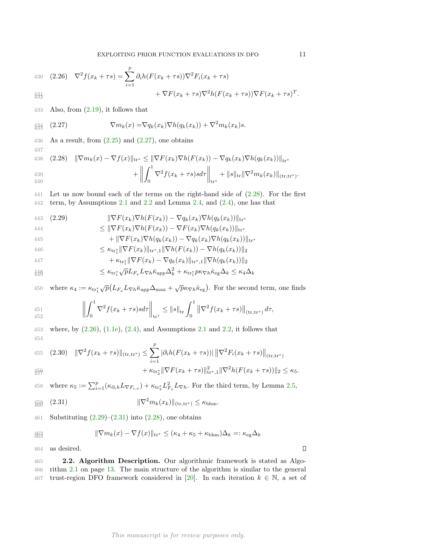430 (2.26) 
$$
\nabla^2 f(x_k + \tau s) = \sum_{i=1}^p \partial_i h(F(x_k + \tau s)) \nabla^2 F_i(x_k + \tau s) + \nabla F(x_k + \tau s) \nabla^2 h(F(x_k + \tau s)) \nabla F(x_k + \tau s)^T.
$$

433 Also, from  $(2.19)$ , it follows that

$$
\frac{434}{435} (2.27) \qquad \qquad \nabla m_k(x) = \nabla q_k(x_k) \nabla h(q_k(x_k)) + \nabla^2 m_k(x_k) s.
$$

436 As a result, from  $(2.25)$  and  $(2.27)$ , one obtains

438 (2.28) 
$$
\|\nabla m_k(x) - \nabla f(x)\|_{\text{tr}^*} \le \|\nabla F(x_k)\nabla h(F(x_k)) - \nabla q_k(x_k)\nabla h(q_k(x_k))\|_{\text{tr}^*} + \left\|\int_0^1 \nabla^2 f(x_k + \tau s) s d\tau\right\|_{\text{tr}^*} + \|s\|_{\text{tr}} \|\nabla^2 m_k(x_k)\|_{(\text{tr},\text{tr}^*)}.
$$

441 Let us now bound each of the terms on the right-hand side of (2.28). For the first 442 term, by Assumptions  $2.1$  and  $2.2$  and Lemma  $2.4$ , and  $(2.4)$ , one has that

443 (2.29) 
$$
\|\nabla F(x_k)\nabla h(F(x_k)) - \nabla q_k(x_k)\nabla h(q_k(x_k))\|_{\text{tr}}.
$$

444 
$$
\leq \|\nabla F(x_k)\nabla h(F(x_k)) - \nabla F(x_k)\nabla h(q_k(x_k))\|_{\text{tr}^*}
$$

$$
+ \|\nabla F(x_k)\nabla h(q_k(x_k)) - \nabla q_k(x_k)\nabla h(q_k(x_k))\|_{\text{tr}^*}
$$

446 
$$
\leq \kappa_{\text{tr}_1^*} \|\nabla F(x_k)\|_{\text{tr}^*,1} \|\nabla h(F(x_k)) - \nabla h(q_k(x_k))\|_2
$$

437

447 
$$
+ \kappa_{\text{tr}_1^*} \|\nabla F(x_k) - \nabla q_k(x_k)\|_{\text{tr}^*,1} \|\nabla h(q_k(x_k))\|_2
$$

$$
\text{448}_{449} \leq \kappa_{\text{tr}_1^*} \sqrt{p} L_{F_x} L_{\nabla h} \bar{\kappa}_{\text{app}} \Delta_k^2 + \kappa_{\text{tr}_1^*} p \kappa_{\nabla h} \hat{\kappa}_{\text{eg}} \Delta_k \leq \kappa_4 \Delta_k
$$

450 where  $\kappa_4 := \kappa_{\text{tr}_1^*} \sqrt{p} \left( L_{F_x} L_{\nabla h} \bar{\kappa}_{\text{app}} \Delta_{\text{max}} + \sqrt{p} \kappa_{\nabla h} \hat{\kappa}_{\text{eg}} \right)$ . For the second term, one finds

451  
\n
$$
\left\| \int_0^1 \nabla^2 f(x_k + \tau s) s d\tau \right\|_{\text{tr}^*} \leq \|s\|_{\text{tr}} \int_0^1 \left\| \nabla^2 f(x_k + \tau s) \right\|_{(\text{tr}, \text{tr}^*)} d\tau,
$$

453 where, by  $(2.26)$ ,  $(1.1e)$ ,  $(2.4)$ , and Assumptions 2.1 and 2.2, it follows that 454

455 (2.30) 
$$
\|\nabla^2 f(x_k + \tau s)\|_{(\text{tr}, \text{tr}^*)} \leq \sum_{i=1}^p |\partial_i h(F(x_k + \tau s))| \|\nabla^2 F_i(x_k + \tau s)\|_{(\text{tr}, \text{tr}^*)} + \kappa_{\text{tr}^*_{2}} \|\nabla F(x_k + \tau s)\|_{\text{tr}^*_{2,1}} \|\nabla^2 h(F(x_k + \tau s))\|_{2} \leq \kappa_5.
$$

457

458 where  $\kappa_5 := \sum_{i=1}^p (\kappa_{\partial_i h} L_{\nabla F_{i,x}}) + \kappa_{\text{tr}_2^*} L_{F_x}^2 L_{\nabla h}$ . For the third term, by Lemma 2.5,

$$
\text{458} (2.31) \qquad \qquad \|\nabla^2 m_k(x_k)\|_{(\text{tr},\text{tr}^*)} \leq \kappa_{\text{bhm}}.
$$

461 Substituting  $(2.29)$ – $(2.31)$  into  $(2.28)$ , one obtains

463 
$$
\|\nabla m_k(x) - \nabla f(x)\|_{\text{tr}^*} \le (\kappa_4 + \kappa_5 + \kappa_{\text{bhm}})\Delta_k =: \kappa_{\text{eg}}\Delta_k
$$

464 as desired.

465 2.2. Algorithm Description. Our algorithmic framework is stated as Algo-466 rithm 2.1 on page 13. The main structure of the algorithm is similar to the general 467 trust-region DFO framework considered in [20]. In each iteration  $k \in \mathbb{N}$ , a set of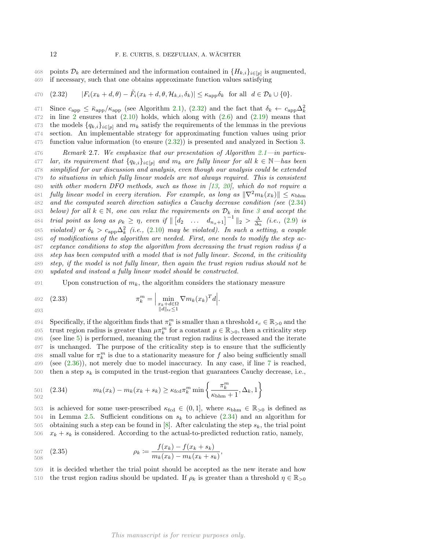points  $\mathcal{D}_k$  are determined and the information contained in  $\{H_{k,i}\}_{i\in[p]}$  is augmented, 469 if necessary, such that one obtains approximate function values satisfying 469 if necessary, such that one obtains approximate function values satisfying

470 (2.32) 
$$
|F_i(x_k + d, \theta) - \tilde{F}_i(x_k + d, \theta, \mathcal{H}_{k,i}, \delta_k)| \le \kappa_{\text{app}} \delta_k \text{ for all } d \in \mathcal{D}_k \cup \{0\}.
$$

Since  $c_{\rm app} \le \bar{\kappa}_{\rm app}/\kappa_{\rm app}$  (see Algorithm 2.1), (2.32) and the fact that  $\delta_k \leftarrow c_{\rm app} \Delta_k^2$ 471  $472$  in line 2 ensures that  $(2.10)$  holds, which along with  $(2.6)$  and  $(2.19)$  means that 473 the models  ${q_{k,i}}_{i\in[p]}$  and  $m_k$  satisfy the requirements of the lemmas in the previous 474 section. An implementable strategy for approximating function values using prior 475 function value information (to ensure (2.32)) is presented and analyzed in Section 3.

476 Remark 2.7. We emphasize that our presentation of Algorithm 2.1—in particu-477 lar, its requirement that  $\{q_{k,i}\}_{i\in[p]}$  and  $m_k$  are fully linear for all  $k \in \mathbb{N}$ —has been<br>478 simplified for our discussion and analysis, even though our analysis could be extended simplified for our discussion and analysis, even though our analysis could be extended 479 to situations in which fully linear models are not always required. This is consistent 480 with other modern DFO methods, such as those in [13, 20], which do not require a 481 fully linear model in every iteration. For example, as long as  $\|\nabla^2 m_k(x_k)\| \leq \kappa_{\text{bhm}}$ <br>482 and the computed search direction satisfies a Cauchy decrease condition (see (2.34) and the computed search direction satisfies a Cauchy decrease condition (see  $(2.34)$ ) 483 below) for all  $k \in \mathbb{N}$ , one can relax the requirements on  $\mathcal{D}_k$  in line 3 and accept the 484 trial point as long as  $\rho_k \geq \eta$ , even if  $\| [d_2 \dots d_{n_x+1}]^{-1} \|_2 > \frac{\Lambda}{\Delta_k}$  (i.e., (2.9) is 485 violated) or  $\delta_k > c_{\rm app} \Delta_k^2$  (i.e., (2.10) may be violated). In such a setting, a couple 486 of modifications of the algorithm are needed. First, one needs to modify the step ac-487 ceptance conditions to stop the algorithm from decreasing the trust region radius if a 488 step has been computed with a model that is not fully linear. Second, in the criticality 489 step, if the model is not fully linear, then again the trust region radius should not be 490 updated and instead a fully linear model should be constructed.

491 Upon construction of  $m_k$ , the algorithm considers the stationary measure

492 (2.33) 
$$
\pi_k^m = \Big| \min_{\substack{x_k + d \in \Omega \\ ||d||_{\text{tr}} \le 1}} \nabla m_k(x_k)^T d \Big|.
$$

493

494 Specifically, if the algorithm finds that  $\pi_k^m$  is smaller than a threshold  $\epsilon_c \in \mathbb{R}_{>0}$  and the 495 trust region radius is greater than  $\mu \pi_k^m$  for a constant  $\mu \in \mathbb{R}_{>0}$ , then a criticality step 496 (see line 5) is performed, meaning the trust region radius is decreased and the iterate 497 is unchanged. The purpose of the criticality step is to ensure that the sufficiently 498 small value for  $\pi_k^m$  is due to a stationarity measure for f also being sufficiently small 499 (see  $(2.36)$ ), not merely due to model inaccuracy. In any case, if line 7 is reached, 500 then a step  $s_k$  is computed in the trust-region that guarantees Cauchy decrease, i.e.,

501 (2.34) 
$$
m_k(x_k) - m_k(x_k + s_k) \ge \kappa_{\text{fcd}} \pi_k^m \min \left\{ \frac{\pi_k^m}{\kappa_{\text{bbm}} + 1}, \Delta_k, 1 \right\}
$$

503 is achieved for some user-prescribed  $\kappa_{\text{fed}} \in (0, 1]$ , where  $\kappa_{\text{bhm}} \in \mathbb{R}_{>0}$  is defined as 504 in Lemma 2.5. Sufficient conditions on  $s_k$  to achieve (2.34) and an algorithm for in Lemma 2.5. Sufficient conditions on  $s_k$  to achieve (2.34) and an algorithm for 505 obtaining such a step can be found in [8]. After calculating the step  $s_k$ , the trial point 506  $x_k + s_k$  is considered. According to the actual-to-predicted reduction ratio, namely,

$$
507 \quad (2.35) \quad \rho_k \coloneqq \frac{f(x_k) - f(x_k + s_k)}{m_k(x_k) - m_k(x_k + s_k)},
$$

509 it is decided whether the trial point should be accepted as the new iterate and how 510 the trust region radius should be updated. If  $\rho_k$  is greater than a threshold  $\eta \in \mathbb{R}_{>0}$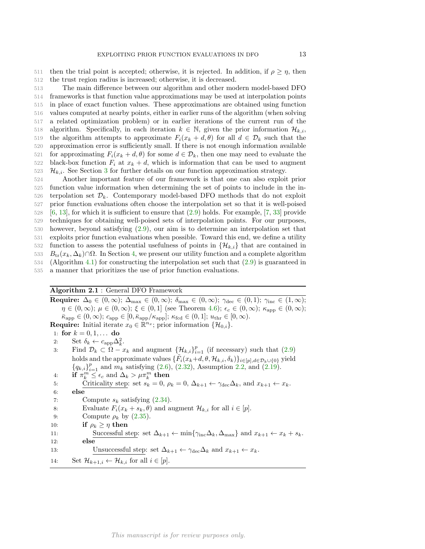511 then the trial point is accepted; otherwise, it is rejected. In addition, if  $\rho \geq \eta$ , then 512 the trust region radius is increased; otherwise, it is decreased.

513 The main difference between our algorithm and other modern model-based DFO 514 frameworks is that function value approximations may be used at interpolation points 515 in place of exact function values. These approximations are obtained using function 516 values computed at nearby points, either in earlier runs of the algorithm (when solving 517 a related optimization problem) or in earlier iterations of the current run of the algorithm. Specifically, in each iteration  $k \in \mathbb{N}$ , given the prior information  $\mathcal{H}_{k,i}$ , 519 the algorithm attempts to approximate  $F_i(x_k + d, \theta)$  for all  $d \in \mathcal{D}_k$  such that the 519 the algorithm attempts to approximate  $F_i(x_k + d, \theta)$  for all  $d \in \mathcal{D}_k$  such that the 520 approximation error is sufficiently small. If there is not enough information available approximation error is sufficiently small. If there is not enough information available 521 for approximating  $F_i(x_k + d, \theta)$  for some  $d \in \mathcal{D}_k$ , then one may need to evaluate the 522 black-box function  $F_i$  at  $x_k + d$ , which is information that can be used to augment black-box function  $F_i$  at  $x_k + d$ , which is information that can be used to augment  $\mathcal{H}_{k,i}$ . See Section 3 for further details on our function approximation strategy.<br>524 Another important feature of our framework is that one can also exploit

 Another important feature of our framework is that one can also exploit prior function value information when determining the set of points to include in the in-526 terpolation set  $\mathcal{D}_k$ . Contemporary model-based DFO methods that do not exploit prior function evaluations often choose the interpolation set so that it is well-poised prior function evaluations often choose the interpolation set so that it is well-poised [6, 13], for which it is sufficient to ensure that (2.9) holds. For example, [7, 33] provide techniques for obtaining well-poised sets of interpolation points. For our purposes, however, beyond satisfying (2.9), our aim is to determine an interpolation set that exploits prior function evaluations when possible. Toward this end, we define a utility 532 function to assess the potential usefulness of points in  $\{\mathcal{H}_{k,i}\}\$  that are contained in 533  $B_{t_1}(x_k, \Delta_k) \cap \Omega$ . In Section 4, we present our utility function and a complete algorithm 533 B<sub>tr</sub>( $x_k, \Delta_k$ )∩Ω. In Section 4, we present our utility function and a complete algorithm 534 (Algorithm 4.1) for constructing the interpolation set such that (2.9) is guaranteed in (Algorithm 4.1) for constructing the interpolation set such that  $(2.9)$  is guaranteed in a manner that prioritizes the use of prior function evaluations.

# Algorithm 2.1 : General DFO Framework

Require:  $\Delta_0 \in (0,\infty)$ ;  $\Delta_{\max} \in (0,\infty)$ ;  $\delta_{\max} \in (0,\infty)$ ;  $\gamma_{\text{dec}} \in (0,1)$ ;  $\gamma_{\text{inc}} \in (1,\infty)$ ;  $\eta \in (0,\infty); \mu \in (0,\infty); \xi \in (0,1]$  (see Theorem 4.6);  $\epsilon_c \in (0,\infty); \kappa_{\text{app}} \in (0,\infty);$  $\bar{\kappa}_{app} \in (0,\infty); c_{app} \in [0,\bar{\kappa}_{app}/\kappa_{app}]; \, \kappa_{\text{fcd}} \in (0,1]; \, u_{\text{thr}} \in [0,\infty).$ **Require:** Initial iterate  $x_0 \in \mathbb{R}^{n_x}$ ; prior information  $\{\mathcal{H}_{0,i}\}.$ 1: for  $k = 0, 1, ...$  do 2: Set  $\delta_k \leftarrow c_{\text{app}} \Delta_k^2$ . 3: Find  $\mathcal{D}_k \subset \Omega - x_k$  and augment  $\{\mathcal{H}_{k,i}\}_{i=1}^p$  (if necessary) such that (2.9) holds and the approximate values  $\{\tilde{F}_i(x_k+d,\theta,\mathcal{H}_{k,i},\delta_k)\}_{i\in[p],d\in\mathcal{D}_k\cup\{0\}}$  yield  ${q_{k,i}}_{i=1}^p$  and  $m_k$  satisfying (2.6), (2.32), Assumption 2.2, and (2.19). 4: if  $\pi_k^m \leq \epsilon_c$  and  $\Delta_k > \mu \pi_k^m$  then 5: Criticality step: set  $s_k = 0$ ,  $\rho_k = 0$ ,  $\Delta_{k+1} \leftarrow \gamma_{\text{dec}} \Delta_k$ , and  $x_{k+1} \leftarrow x_k$ .<br>6: else  $_{\rm else}$ 7: Compute  $s_k$  satisfying  $(2.34)$ . 8: Evaluate  $F_i(x_k + s_k, \theta)$  and augment  $\mathcal{H}_{k,i}$  for all  $i \in [p]$ .<br>9: Compute  $\rho_k$  by (2.35). Compute  $\rho_k$  by (2.35). 10: **if**  $\rho_k \geq \eta$  **then**<br>11: **Successful s** 11: Successful step: set  $\Delta_{k+1} \leftarrow \min\{\gamma_{\text{inc}}\Delta_k, \Delta_{\text{max}}\}$  and  $x_{k+1} \leftarrow x_k + s_k$ .<br>12: else 13: Unsuccessful step: set  $\Delta_{k+1} \leftarrow \gamma_{\text{dec}} \Delta_k$  and  $x_{k+1} \leftarrow x_k$ . 14: Set  $\mathcal{H}_{k+1,i} \leftarrow \mathcal{H}_{k,i}$  for all  $i \in [p]$ .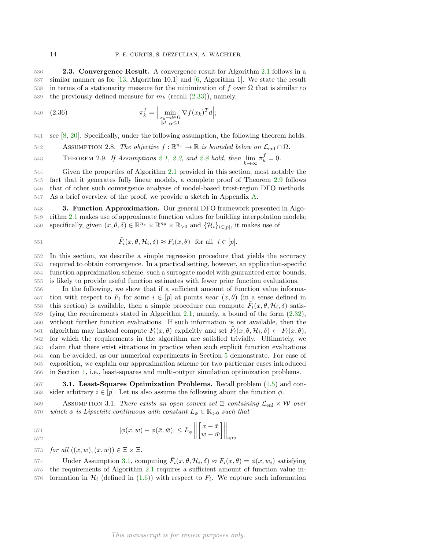536 **2.3. Convergence Result.** A convergence result for Algorithm 2.1 follows in a 537 similar manner as for [13, Algorithm 10.1] and [6, Algorithm 1]. We state the result 538 in terms of a stationarity measure for the minimization of f over  $\Omega$  that is similar to 539 the previously defined measure for  $m_k$  (recall  $(2.33)$ ), namely,

$$
\pi_k^f = \Big| \min_{\substack{x_k + d \in \Omega \\ \|d\|_{\text{tr}} \le 1}} \nabla f(x_k)^T d \Big|;
$$

541 see [8, 20]. Specifically, under the following assumption, the following theorem holds.

ASSUMPTION 2.8. The objective  $f : \mathbb{R}^{n_x} \to \mathbb{R}$  is bounded below on  $\mathcal{L}_{enl} \cap \Omega$ .

THEOREM 2.9. If Assumptions 2.1, 2.2, and 2.8 hold, then  $\lim_{k \to \infty} \pi_k^f = 0$ .

 Given the properties of Algorithm 2.1 provided in this section, most notably the fact that it generates fully linear models, a complete proof of Theorem 2.9 follows that of other such convergence analyses of model-based trust-region DFO methods. As a brief overview of the proof, we provide a sketch in Appendix A.

548 3. Function Approximation. Our general DFO framework presented in Algo-549 rithm 2.1 makes use of approximate function values for building interpolation models; 550 specifically, given  $(x, \theta, \delta) \in \mathbb{R}^{n_x} \times \mathbb{R}^{n_\theta} \times \mathbb{R}_{>0}$  and  $\{\mathcal{H}_i\}_{i \in [p]}\$ , it makes use of

551 
$$
\tilde{F}_i(x, \theta, \mathcal{H}_i, \delta) \approx F_i(x, \theta)
$$
 for all  $i \in [p]$ .

552 In this section, we describe a simple regression procedure that yields the accuracy 553 required to obtain convergence. In a practical setting, however, an application-specific 554 function approximation scheme, such a surrogate model with guaranteed error bounds,

555 is likely to provide useful function estimates with fewer prior function evaluations.

 In the following, we show that if a sufficient amount of function value informa-557 tion with respect to  $F_i$  for some  $i \in [p]$  at points *near*  $(x, \theta)$  (in a sense defined in 558 this section) is available, then a simple procedure can compute  $\tilde{F}_i(x, \theta, \mathcal{H}_i, \delta)$  satisthis section) is available, then a simple procedure can compute  $\tilde{F}_i(x, \theta, \mathcal{H}_i, \delta)$  satis- fying the requirements stated in Algorithm 2.1, namely, a bound of the form (2.32), without further function evaluations. If such information is not available, then the 561 algorithm may instead compute  $F_i(x, \theta)$  explicitly and set  $\tilde{F}_i(x, \theta, \mathcal{H}_i, \delta) \leftarrow F_i(x, \theta),$  for which the requirements in the algorithm are satisfied trivially. Ultimately, we claim that there exist situations in practice when such explicit function evaluations can be avoided, as our numerical experiments in Section 5 demonstrate. For ease of exposition, we explain our approximation scheme for two particular cases introduced in Section 1, i.e., least-squares and multi-output simulation optimization problems.

567 3.1. Least-Squares Optimization Problems. Recall problem (1.5) and con-568 sider arbitrary  $i \in [p]$ . Let us also assume the following about the function  $\phi$ .

569 ASSUMPTION 3.1. There exists an open convex set  $\Xi$  containing  $\mathcal{L}_{enl} \times \mathcal{W}$  over<br>570 which  $\phi$  is Lipschitz continuous with constant  $L_{\phi} \in \mathbb{R}_{\geq 0}$  such that which  $\phi$  is Lipschitz continuous with constant  $L_{\phi} \in \mathbb{R}_{>0}$  such that

571  
\n
$$
|\phi(x, w) - \phi(\bar{x}, \bar{w})| \leq L_{\phi} \left\| \begin{bmatrix} x - \bar{x} \\ w - \bar{w} \end{bmatrix} \right\|_{\text{app}}
$$

573 for all  $((x, w), (\bar{x}, \bar{w})) \in \Xi \times \Xi$ .

Under Assumption 3.1, computing  $\tilde{F}_i(x, \theta, \mathcal{H}_i, \delta) \approx F_i(x, \theta) = \phi(x, w_i)$  satisfying 575 the requirements of Algorithm 2.1 requires a sufficient amount of function value in- $576$  formation in  $\mathcal{H}_i$  (defined in (1.6)) with respect to  $F_i$ . We capture such information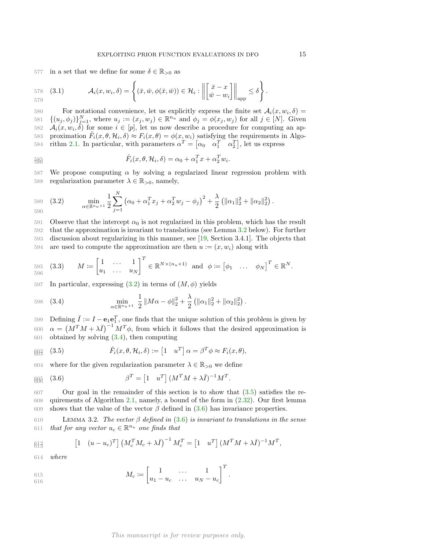577 in a set that we define for some  $\delta \in \mathbb{R}_{>0}$  as

578 (3.1) 
$$
\mathcal{A}_i(x, w_i, \delta) = \left\{ (\bar{x}, \bar{w}, \phi(\bar{x}, \bar{w})) \in \mathcal{H}_i : \left\| \begin{bmatrix} \bar{x} - x \\ \bar{w} - w_i \end{bmatrix} \right\|_{\text{app}} \leq \delta \right\}.
$$

For notational convenience, let us explicitly express the finite set  $\mathcal{A}_i(x, w_i, \delta) =$ <br>581  $\{(u_i, \phi_i)\}_{i=1}^N$ , where  $u_i := (x_i, w_i) \in \mathbb{R}^{n_u}$  and  $\phi_i = \phi(x_i, w_i)$  for all  $i \in [N]$ . Given 581  $\{(u_j, \phi_j)\}_{j=1}^N$ , where  $u_j := (x_j, w_j) \in \mathbb{R}^{n_u}$  and  $\phi_j = \phi(x_j, w_j)$  for all  $j \in [N]$ . Given 582  $\mathcal{A}_i(x, w_i, \delta)$  for some  $i \in [p]$ , let us now describe a procedure for computing an approximation  $\tilde{F}_i(x, \theta, \mathcal{H}_i, \delta) \approx F_i(x, \theta) = \phi(x, w_i)$  satisfying the requirements in Algo-584 rithm 2.1. In particular, with parameters  $\alpha^T = [\alpha_0 \alpha_1^T \alpha_2^T]$ , let us express

585  

$$
\tilde{F}_i(x,\theta,\mathcal{H}_i,\delta) = \alpha_0 + \alpha_1^T x + \alpha_2^T w_i.
$$

587 We propose computing  $\alpha$  by solving a regularized linear regression problem with 588 regularization parameter  $\lambda \in \mathbb{R}_{>0}$ , namely,

589 (3.2) 
$$
\min_{\alpha \in \mathbb{R}^{n_u+1}} \frac{1}{2} \sum_{j=1}^N (\alpha_0 + \alpha_1^T x_j + \alpha_2^T w_j - \phi_j)^2 + \frac{\lambda}{2} (\|\alpha_1\|_2^2 + \|\alpha_2\|_2^2).
$$

591 Observe that the intercept  $\alpha_0$  is not regularized in this problem, which has the result 592 that the approximation is invariant to translations (see Lemma 3.2 below). For further 593 discussion about regularizing in this manner, see [19, Section 3.4.1]. The objects that 594 are used to compute the approximation are then  $u := (x, w_i)$  along with

595 (3.3) 
$$
M \coloneqq \begin{bmatrix} 1 & \cdots & 1 \\ u_1 & \cdots & u_N \end{bmatrix}^T \in \mathbb{R}^{N \times (n_u + 1)} \text{ and } \phi \coloneqq \begin{bmatrix} \phi_1 & \cdots & \phi_N \end{bmatrix}^T \in \mathbb{R}^N.
$$

597 In particular, expressing  $(3.2)$  in terms of  $(M, \phi)$  yields

598 (3.4) 
$$
\min_{\alpha \in \mathbb{R}^{n_u+1}} \frac{1}{2} \|M\alpha - \phi\|_2^2 + \frac{\lambda}{2} \left( \|\alpha_1\|_2^2 + \|\alpha_2\|_2^2 \right).
$$

599 Defining  $\bar{I} := I - e_1 e_1^T$ , one finds that the unique solution of this problem is given by 600  $\alpha = (M^T M + \lambda \bar{I})^{-1} M^T \phi$ , from which it follows that the desired approximation is 601 obtained by solving (3.4), then computing

$$
\mathfrak{g}_{\mathfrak{H}_3} \quad (3.5) \qquad \qquad \tilde{F}_i(x,\theta,\mathcal{H}_i,\delta) := \begin{bmatrix} 1 & u^T \end{bmatrix} \alpha = \beta^T \phi \approx F_i(x,\theta),
$$

604 where for the given regularization parameter  $\lambda \in \mathbb{R}_{>0}$  we define

$$
\beta \beta \overline{\beta} \quad (3.6) \qquad \beta^T = \begin{bmatrix} 1 & u^T \end{bmatrix} (M^T M + \lambda \overline{I})^{-1} M^T.
$$

607 Our goal in the remainder of this section is to show that (3.5) satisfies the re-608 quirements of Algorithm 2.1, namely, a bound of the form in (2.32). Our first lemma 609 shows that the value of the vector  $\beta$  defined in (3.6) has invariance properties.

610 LEMMA 3.2. The vector  $\beta$  defined in (3.6) is invariant to translations in the sense 611 that for any vector  $u_c \in \mathbb{R}^{n_u}$  one finds that

$$
\text{R13} \qquad \qquad \left[1 \quad (u - u_c)^T\right] \left(M_c^T M_c + \lambda \bar{I}\right)^{-1} M_c^T = \left[1 \quad u^T\right] \left(M^T M + \lambda \bar{I}\right)^{-1} M^T,
$$

614 where

$$
M_c \coloneqq \begin{bmatrix} 1 & \cdots & 1 \\ u_1 - u_c & \cdots & u_N - u_c \end{bmatrix}^T.
$$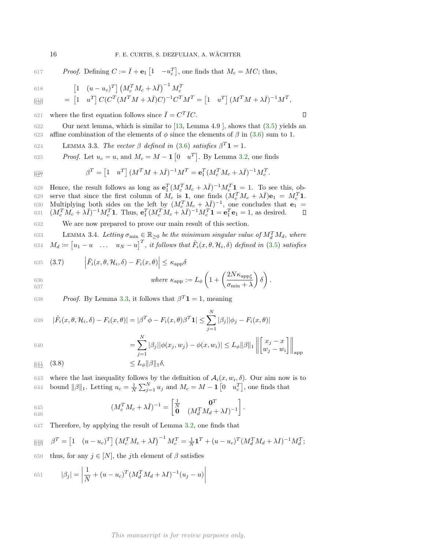617 Proof. Defining  $C := \overline{I} + \mathbf{e}_1 \begin{bmatrix} 1 & -u_c^T \end{bmatrix}$ , one finds that  $M_c = MC$ ; thus,  $\begin{bmatrix} 1 & (u - u_c)^T \end{bmatrix} \begin{bmatrix} M_c^T M_c + \lambda \bar{I} \end{bmatrix}^{-1} M_c^T$ 618  $\mathcal{L}^{[3]}_{\mathcal{B}} = \begin{bmatrix} 1 & u^T \end{bmatrix} C (C^T (M^T M + \lambda \bar{I}) C)^{-1} C^T M^T = \begin{bmatrix} 1 & u^T \end{bmatrix} (M^T M + \lambda \bar{I})^{-1} M^T,$ 620 621 where the first equation follows since  $\overline{I} = C^T \overline{I} C$ . 622 Our next lemma, which is similar to [13, Lemma 4.9 ], shows that (3.5) yields an 623 affine combination of the elements of  $\phi$  since the elements of  $\beta$  in (3.6) sum to 1.

624 LEMMA 3.3. The vector  $\beta$  defined in (3.6) satisfies  $\beta^T \mathbf{1} = 1$ .

625 Proof. Let  $u_c = u$ , and  $M_c = M - \mathbf{1} \begin{bmatrix} 0 & u^T \end{bmatrix}$ . By Lemma 3.2, one finds

$$
\beta^T = \begin{bmatrix} 1 & u^T \end{bmatrix} (M^T M + \lambda \bar{I})^{-1} M^T = \mathbf{e}_1^T (M_c^T M_c + \lambda \bar{I})^{-1} M_c^T.
$$

628 Hence, the result follows as long as  $\mathbf{e}_1^T (M_c^T M_c + \lambda \bar{I})^{-1} M_c^T \mathbf{1} = 1$ . To see this, observe that since the first column of  $M_c$  is 1, one finds  $(M_c^T M_c + \lambda \bar{I})e_1 = M_c^T 1$ . 630 Multiplying both sides on the left by  $(M_c^T M_c + \lambda \bar{I})^{-1}$ , one concludes that  $\mathbf{e}_1 =$ 631  $(M_c^T M_c + \lambda \bar{I})^{-1} M_c^T 1$ . Thus,  ${\bf e}_1^T (M_c^T M_c + \lambda \bar{I})^{-1} M_c^T 1 = {\bf e}_1^T {\bf e}_1 = 1$ , as desired.

632 We are now prepared to prove our main result of this section.

633 LEMMA 3.4. Letting  $\sigma_{\min} \in \mathbb{R}_{\geq 0}$  be the minimum singular value of  $M_d^T M_d$ , where 634  $M_d \coloneqq [u_1 - u \dots u_N - u]^T$ , it follows that  $\tilde{F}_i(x, \theta, \mathcal{H}_i, \delta)$  defined in (3.5) satisfies

635 (3.7) 
$$
\left| \tilde{F}_i(x, \theta, \mathcal{H}_i, \delta) - F_i(x, \theta) \right| \leq \kappa_{\text{app}} \delta
$$

636  
637 
$$
where \kappa_{app} := L_{\phi} \left( 1 + \left( \frac{2N \kappa_{app_{0}}}{\sigma_{\min} + \lambda} \right) \delta \right).
$$

638 *Proof.* By Lemma 3.3, it follows that  $\beta^T \mathbf{1} = 1$ , meaning

639 
$$
|\tilde{F}_i(x, \theta, \mathcal{H}_i, \delta) - F_i(x, \theta)| = |\beta^T \phi - F_i(x, \theta)\beta^T \mathbf{1}| \le \sum_{j=1}^N |\beta_j| |\phi_j - F_i(x, \theta)|
$$
  

$$
\sum_{j=1}^N |\beta_j| |\phi_j - F_i(x, \theta)| \le \sum_{j=1}^N |\beta_j| |\phi_j - F_i(x, \theta)|
$$

640 
$$
= \sum_{j=1}^{N} |\beta_j| |\phi(x_j, w_j) - \phi(x, w_i)| \leq L_{\phi} ||\beta||_1 \left\| \begin{bmatrix} x_j - x \\ w_j - w_i \end{bmatrix} \right\|_{\text{app}}
$$

$$
\mathfrak{g}_{42}^4 \quad (3.8) \qquad \qquad \leq L_\phi \|\beta\|_1 \delta,
$$

643 where the last inequality follows by the definition of  $\mathcal{A}_i(x, w_i, \delta)$ . Our aim now is to 644 bound  $\|\beta\|_1$ . Letting  $u_c = \frac{1}{N} \sum_{j=1}^N u_j$  and  $M_c = M - \mathbf{1} \begin{bmatrix} 0 & u_c^T \end{bmatrix}$ , one finds that

645 
$$
(M_c^T M_c + \lambda \bar{I})^{-1} = \begin{bmatrix} \frac{1}{N} & \mathbf{0}^T \\ \mathbf{0} & (M_d^T M_d + \lambda I)^{-1} \end{bmatrix}.
$$

647 Therefore, by applying the result of Lemma 3.2, one finds that

$$
\beta_{4\beta}^{4\beta} \quad \beta^T = \begin{bmatrix} 1 & (u - u_c)^T \end{bmatrix} \left( M_c^T M_c + \lambda \bar{I} \right)^{-1} M_c^T = \frac{1}{N} \mathbf{1}^T + (u - u_c)^T (M_d^T M_d + \lambda I)^{-1} M_d^T;
$$

650 thus, for any  $j \in [N]$ , the j<sup>th</sup> element of  $\beta$  satisfies

651 
$$
|\beta_j| = \left| \frac{1}{N} + (u - u_c)^T (M_d^T M_d + \lambda I)^{-1} (u_j - u) \right|
$$

637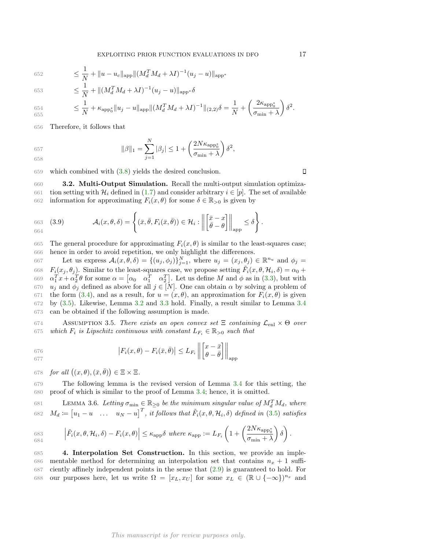652 
$$
\leq \frac{1}{N} + ||u - u_c||_{\text{app}} ||(M_d^T M_d + \lambda I)^{-1} (u_j - u)||_{\text{app*}}
$$

653 
$$
\leq \frac{1}{N} + ||(M_d^T M_d + \lambda I)^{-1} (u_j - u)||_{\text{app*}} \delta
$$

$$
654 \leq \frac{1}{N} + \kappa_{\mathrm{app}_0^*} \|u_j - u\|_{\mathrm{app}} \|(M_d^T M_d + \lambda I)^{-1}\|_{(2,2)} \delta = \frac{1}{N} + \left(\frac{2\kappa_{\mathrm{app}_0^*}}{\sigma_{\mathrm{min}} + \lambda}\right) \delta^2.
$$

656 Therefore, it follows that

$$
\|\beta\|_1 = \sum_{j=1}^N |\beta_j| \le 1 + \left(\frac{2N\kappa_{\rm app}^*}{\sigma_{\rm min} + \lambda}\right) \delta^2,
$$
658

659 which combined with (3.8) yields the desired conclusion.

660 3.2. Multi-Output Simulation. Recall the multi-output simulation optimiza-661 tion setting with  $\mathcal{H}_i$  defined in (1.7) and consider arbitrary  $i \in [p]$ . The set of available 662 information for approximating  $F_i(x, \theta)$  for some  $\delta \in \mathbb{R}_{\geq 0}$  is given by information for approximating  $F_i(x, \theta)$  for some  $\delta \in \mathbb{R}_{>0}$  is given by

(3.9) 
$$
\mathcal{A}_i(x, \theta, \delta) = \left\{ (\bar{x}, \bar{\theta}, F_i(\bar{x}, \bar{\theta})) \in \mathcal{H}_i : \left\| \begin{bmatrix} \bar{x} - x \\ \bar{\theta} - \theta \end{bmatrix} \right\|_{\text{app}} \leq \delta \right\}.
$$

665 The general procedure for approximating  $F_i(x, \theta)$  is similar to the least-squares case; 666 hence in order to avoid repetition, we only highlight the differences.

667 Let us express  $A_i(x, \theta, \delta) = \{(u_j, \phi_j)\}_{j=1}^N$ , where  $u_j = (x_j, \theta_j) \in \mathbb{R}^{n_u}$  and  $\phi_j =$  $F_i(x_j, \theta_j)$ . Similar to the least-squares case, we propose setting  $\tilde{F}_i(x, \theta, \mathcal{H}_i, \delta) = \alpha_0 + \frac{1}{2} \sum_{i=1}^{n} \tilde{F}_i(x_i, \theta_i)$  $\alpha_1^T x + \alpha_2^T \theta$  for some  $\alpha = \begin{bmatrix} \alpha_0 & \alpha_1^T & \alpha_2^T \end{bmatrix}$ . Let us define M and  $\phi$  as in (3.3), but with  $u_j$  and  $\phi_j$  defined as above for all  $j \in [N]$ . One can obtain  $\alpha$  by solving a problem of 671 the form (3.4), and as a result, for  $u = (x, \theta)$ , an approximation for  $F_i(x, \theta)$  is given by (3.5). Likewise, Lemma 3.2 and 3.3 hold. Finally, a result similar to Lemma 3.4 can be obtained if the following assumption is made.

674 **ASSUMPTION 3.5.** There exists an open convex set  $\Xi$  containing  $\mathcal{L}_{enl} \times \Theta$  over<br>675 which  $F_i$  is Lipschitz continuous with constant  $L_F \in \mathbb{R}_{\geq 0}$  such that which  $F_i$  is Lipschitz continuous with constant  $L_{F_i} \in \mathbb{R}_{>0}$  such that

676  

$$
|F_i(x, \theta) - F_i(\bar{x}, \bar{\theta})| \leq L_{F_i} \left\| \begin{bmatrix} x - \bar{x} \\ \theta - \bar{\theta} \end{bmatrix} \right\|_{\text{app}}
$$

678 for all  $((x, \theta), (\bar{x}, \bar{\theta})) \in \Xi \times \Xi$ .

679 The following lemma is the revised version of Lemma 3.4 for this setting, the 680 proof of which is similar to the proof of Lemma 3.4; hence, it is omitted.

681 LEMMA 3.6. Letting  $\sigma_{\min} \in \mathbb{R}_{\geq 0}$  be the minimum singular value of  $M_d^T M_d$ , where 682  $M_d \coloneqq [u_1 - u \dots u_N - u]^T$ , it follows that  $\tilde{F}_i(x, \theta, \mathcal{H}_i, \delta)$  defined in (3.5) satisfies

$$
\left| \tilde{F}_i(x, \theta, \mathcal{H}_i, \delta) - F_i(x, \theta) \right| \leq \kappa_{\mathrm{app}} \delta \text{ where } \kappa_{\mathrm{app}} := L_{F_i} \left( 1 + \left( \frac{2N \kappa_{\mathrm{app}^*}}{{\sigma_{\min}}} \right) \delta \right).
$$

685 4. Interpolation Set Construction. In this section, we provide an imple-686 mentable method for determining an interpolation set that contains  $n_x + 1$  suffi-687 ciently affinely independent points in the sense that (2.9) is guaranteed to hold. For 688 our purposes here, let us write  $\Omega = [x_L, x_U]$  for some  $x_L \in (\mathbb{R} \cup \{-\infty\})^{n_x}$  and

# $\Box$

 $\overline{ }$  $\delta^2$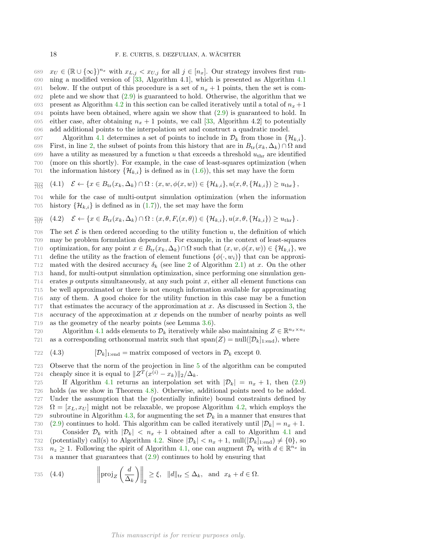$x_U \in (\mathbb{R} \cup \{\infty\})^{n_x}$  with  $x_{L,j} < x_{U,j}$  for all  $j \in [n_x]$ . Our strategy involves first run- ning a modified version of [33, Algorithm 4.1], which is presented as Algorithm 4.1 691 below. If the output of this procedure is a set of  $n_x + 1$  points, then the set is com- plete and we show that (2.9) is guaranteed to hold. Otherwise, the algorithm that we 693 present as Algorithm 4.2 in this section can be called iteratively until a total of  $n_x + 1$  points have been obtained, where again we show that (2.9) is guaranteed to hold. In 695 either case, after obtaining  $n_x + 1$  points, we call [33, Algorithm 4.2] to potentially add additional points to the interpolation set and construct a quadratic model.

697 Algorithm 4.1 determines a set of points to include in  $\mathcal{D}_k$  from those in  $\{\mathcal{H}_{k,i}\}$ .<br>698 First, in line 2, the subset of points from this history that are in  $B_{tr}(x_k, \Delta_k) \cap \Omega$  and 698 First, in line 2, the subset of points from this history that are in  $B_{tr}(x_k, \Delta_k) \cap \Omega$  and 699 have a utility as measured by a function u that exceeds a threshold  $u_{thr}$  are identified have a utility as measured by a function u that exceeds a threshold  $u_{\text{thr}}$  are identified 700 (more on this shortly). For example, in the case of least-squares optimization (when 701 the information history  $\{\mathcal{H}_{k,i}\}\$ is defined as in (1.6)), this set may have the form

$$
\mathcal{F}_{\theta}^2 \quad (4.1) \quad \mathcal{E} \leftarrow \{x \in B_{\text{tr}}(x_k, \Delta_k) \cap \Omega : (x, w, \phi(x, w)) \in \{\mathcal{H}_{k,i}\}, u(x, \theta, \{\mathcal{H}_{k,i}\}) \ge u_{\text{thr}}\},\
$$

704 while for the case of multi-output simulation optimization (when the information 705 history  $\{\mathcal{H}_{k,i}\}\$ is defined as in  $(1.7)$ , the set may have the form

$$
\text{and} \quad (4.2) \quad \mathcal{E} \leftarrow \{x \in B_{\text{tr}}(x_k, \Delta_k) \cap \Omega : (x, \theta, F_i(x, \theta)) \in \{\mathcal{H}_{k,i}\}, u(x, \theta, \{\mathcal{H}_{k,i}\}) \geq u_{\text{thr}}\}.
$$

- 708 The set  $\mathcal E$  is then ordered according to the utility function  $u$ , the definition of which 709 may be problem formulation dependent. For example, in the context of least-squares may be problem formulation dependent. For example, in the context of least-squares 710 optimization, for any point  $x \in B_{tr}(x_k, \Delta_k) \cap \Omega$  such that  $(x, w, \phi(x, w)) \in \{\mathcal{H}_{k,i}\}$ , we 711 define the utility as the fraction of element functions  $\{\phi(\cdot, w_i)\}$  that can be approximated with the desired accuracy  $\delta_k$  (see line 2 of Algorithm 2.1) at x. On the other mated with the desired accuracy  $\delta_k$  (see line 2 of Algorithm 2.1) at x. On the other 713 hand, for multi-output simulation optimization, since performing one simulation gen- $714$  erates p outputs simultaneously, at any such point x, either all element functions can 715 be well approximated or there is not enough information available for approximating 716 any of them. A good choice for the utility function in this case may be a function  $717$  that estimates the accuracy of the approximation at x. As discussed in Section 3, the 718 accuracy of the approximation at x depends on the number of nearby points as well 719 as the geometry of the nearby points (see Lemma 3.6).
- Algorithm 4.1 adds elements to  $\mathcal{D}_k$  iteratively while also maintaining  $Z \in \mathbb{R}^{n_x \times n_z}$ 721 as a corresponding orthonormal matrix such that  $\text{span}(Z) = \text{null}([\mathcal{D}_k]_{1:\text{end}})$ , where
- 722 (4.3)  $[\mathcal{D}_k]_{1:\text{end}} = \text{matrix composed of vectors in } \mathcal{D}_k \text{ except } 0.$
- 723 Observe that the norm of the projection in line 5 of the algorithm can be computed 724 cheaply since it is equal to  $||Z^T(x^{(i)} - x_k)||_2/\Delta_k$ .

725 If Algorithm 4.1 returns an interpolation set with  $|\mathcal{D}_k| = n_x + 1$ , then (2.9) 726 holds (as we show in Theorem 4.8). Otherwise, additional points need to be added. 727 Under the assumption that the (potentially infinite) bound constraints defined by 728  $\Omega = [x_L, x_U]$  might not be relaxable, we propose Algorithm 4.2, which employs the 729 subroutine in Algorithm 4.3, for augmenting the set  $\mathcal{D}_k$  in a manner that ensures that 730 (2.9) continues to hold. This algorithm can be called iteratively until  $|\mathcal{D}_k| = n_x + 1$ . 730 (2.9) continues to hold. This algorithm can be called iteratively until  $|\mathcal{D}_k| = n_x + 1$ .<br>731 Consider  $\mathcal{D}_k$  with  $|\mathcal{D}_k| < n_x + 1$  obtained after a call to Algorithm 4.1 and 731 Consider  $\mathcal{D}_k$  with  $|\mathcal{D}_k| < n_x + 1$  obtained after a call to Algorithm 4.1 and (potentially) call(s) to Algorithm 4.2. Since  $|\mathcal{D}_k| < n_x + 1$ , null $|[\mathcal{D}_k]_{1 \text{ end}} \neq \{0\}$ , so 732 (potentially) call(s) to Algorithm 4.2. Since  $|\mathcal{D}_k| < n_x + 1$ , null $([\mathcal{D}_k]_{1:end}) \neq \{0\}$ , so  $n_z > 1$ . Following the spirit of Algorithm 4.1, one can augment  $\mathcal{D}_k$  with  $d \in \mathbb{R}^{n_x}$  in 733  $n_z \geq 1$ . Following the spirit of Algorithm 4.1, one can augment  $\mathcal{D}_k$  with  $d \in \mathbb{R}^{n_x}$  in 734 a manner that guarantees that (2.9) continues to hold by ensuring that

735 (4.4) 
$$
\left\| \text{proj}_Z \left( \frac{d}{\Delta_k} \right) \right\|_2 \ge \xi, \quad \|d\|_{\text{tr}} \le \Delta_k, \text{ and } x_k + d \in \Omega.
$$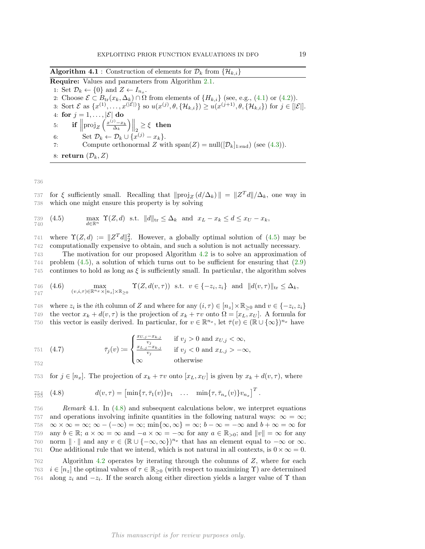**Algorithm 4.1** : Construction of elements for  $\mathcal{D}_k$  from  $\{\mathcal{H}_{k,i}\}$ 

Require: Values and parameters from Algorithm 2.1. 1: Set  $\mathcal{D}_k \leftarrow \{0\}$  and  $Z \leftarrow I_{n_x}$ . 2: Choose  $\mathcal{E} \subset B_{tr}(x_k, \Delta_k) \cap \Omega$  from elements of  $\{H_{k,i}\}$  (see, e.g., (4.1) or (4.2)). 3: Sort  $\mathcal{E}$  as  $\{x^{(1)},...,x^{(\lvert \mathcal{E} \rvert)}\}$  so  $u(x^{(j)},\theta,\{\mathcal{H}_{k,i}\}) \geq u(x^{(j+1)},\theta,\{\mathcal{H}_{k,i}\})$  for  $j \in [\lvert \mathcal{E} \rvert].$ 4: for  $j=1,\ldots,|\mathcal{E}|$  do 5: **if**  $\left\| \text{proj}_Z \left( \frac{x^{(j)} - x_k}{\Delta_k} \right) \right\|$  $\left\| \frac{1}{2} \right\|_2 \geq \xi$  then 6: Set  $\mathcal{D}_k \leftarrow \mathcal{D}_k \cup \{x^{(j)} - x_k\}.$ 7: Compute orthonormal Z with  $\text{span}(Z) = \text{null}([\mathcal{D}_k]_{1:\text{end}})$  (see (4.3)). 8: return  $(\mathcal{D}_k, Z)$ 

736

737 for  $\xi$  sufficiently small. Recalling that  $\|\text{proj}_Z (d/\Delta_k) \| = \|Z^T d\| / \Delta_k$ , one way in 738 which one might ensure this property is by solving

739 (4.5) 
$$
\max_{d \in \mathbb{R}^n} \Upsilon(Z, d) \text{ s.t. } ||d||_{\text{tr}} \leq \Delta_k \text{ and } x_L - x_k \leq d \leq x_U - x_k,
$$

741 where  $\Upsilon(Z,d) := \|Z^T d\|_2^2$ . However, a globally optimal solution of (4.5) may be 742 computationally expensive to obtain, and such a solution is not actually necessary.

743 The motivation for our proposed Algorithm 4.2 is to solve an approximation of 744 problem (4.5), a solution of which turns out to be sufficient for ensuring that (2.9) 745 continues to hold as long as  $\xi$  is sufficiently small. In particular, the algorithm solves

746 (4.6) 
$$
\max_{(v,i,\tau)\in\mathbb{R}^{n_x}\times[n_z]\times\mathbb{R}_{\geq 0}} \Upsilon(Z,d(v,\tau)) \text{ s.t. } v \in \{-z_i,z_i\} \text{ and } ||d(v,\tau)||_{\text{tr}} \leq \Delta_k,
$$

748 where  $z_i$  is the *i*th column of Z and where for any  $(i, \tau) \in [n_z] \times \mathbb{R}_{\geq 0}$  and  $v \in \{-z_i, z_i\}$ 749 the vector  $x_k + d(v, \tau)$  is the projection of  $x_k + \tau v$  onto  $\Omega = [x_L, x_U]$ . A formula for 750 this vector is easily derived. In particular, for  $v \in \mathbb{R}^{n_x}$ , let  $\overline{\tau}(v) \in (\mathbb{R} \cup \{\infty\})^{n_x}$  have

751 (4.7) 
$$
\bar{\tau}_j(v) := \begin{cases} \frac{x_{U,j} - x_{k,j}}{v_j} & \text{if } v_j > 0 \text{ and } x_{U,j} < \infty, \\ \frac{x_{L,j} - x_{k,j}}{v_j} & \text{if } v_j < 0 \text{ and } x_{L,j} > -\infty, \\ \infty & \text{otherwise} \end{cases}
$$

752

753 for 
$$
j \in [n_x]
$$
. The projection of  $x_k + \tau v$  onto  $[x_L, x_U]$  is given by  $x_k + d(v, \tau)$ , where

$$
\tilde{\tau}_{55}^{54} \quad (4.8) \qquad d(v,\tau) = \begin{bmatrix} \min\{\tau,\bar{\tau}_1(v)\} v_1 & \dots & \min\{\tau,\bar{\tau}_{n_x}(v)\} v_{n_x} \end{bmatrix}^T.
$$

756 Remark 4.1. In (4.8) and subsequent calculations below, we interpret equations 757 and operations involving infinite quantities in the following natural ways:  $\infty = \infty$ ; 758  $\infty \times \infty = \infty$ ;  $\infty - (-\infty) = \infty$ ; min{ $\infty, \infty$ } =  $\infty$ ;  $b - \infty = -\infty$  and  $b + \infty = \infty$  for any  $b \in \mathbb{R}$ ;  $a \times \infty = \infty$  and  $-a \times \infty = -\infty$  for any  $a \in \mathbb{R}$ , and  $||v|| = \infty$  for any 759 any  $b \in \mathbb{R}$ ;  $a \times \infty = \infty$  and  $-a \times \infty = -\infty$  for any  $a \in \mathbb{R}_{>0}$ ; and  $||v|| = \infty$  for any  $\infty$  morm  $|| \cdot ||$  and any  $v \in (\mathbb{R} \cup \{-\infty, \infty\})^{n_x}$  that has an element equal to  $-\infty$  or  $\infty$ . 760 norm  $\|\cdot\|$  and any  $v \in (\mathbb{R} \cup \{-\infty, \infty\})^{n_x}$  that has an element equal to  $-\infty$  or  $\infty$ . 761 One additional rule that we intend, which is not natural in all contexts, is  $0 \times \infty = 0$ .

762 Algorithm 4.2 operates by iterating through the columns of Z, where for each 763  $i \in [n_z]$  the optimal values of  $\tau \in \mathbb{R}_{\geq 0}$  (with respect to maximizing  $\Upsilon$ ) are determined 764 along  $z_i$  and  $-z_i$ . If the search along either direction vields a larger value of  $\Upsilon$  than along  $z_i$  and  $-z_i$ . If the search along either direction yields a larger value of  $\Upsilon$  than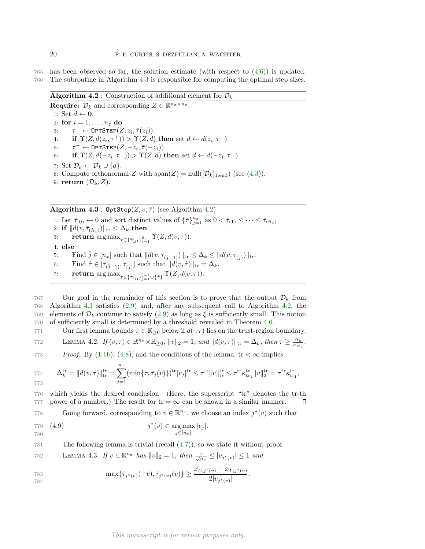765 has been observed so far, the solution estimate (with respect to (4.6)) is updated. 766 The subroutine in Algorithm 4.3 is responsible for computing the optimal step sizes.

**Algorithm 4.2** : Construction of additional element for  $\mathcal{D}_k$ 

**Require:**  $\mathcal{D}_k$  and corresponding  $Z \in \mathbb{R}^{n_x \times n_z}$ . 1: Set  $d \leftarrow \mathbf{0}$ . 2: for  $i = 1, \ldots, n_z$  do 3:  $\tau^+ \leftarrow \text{OPTSTEP}(Z, z_i, \overline{\tau}(z_i)).$ 4: if  $\Upsilon(Z, d(z_i, \tau^+)) > \Upsilon(Z, d)$  then set  $d \leftarrow d(z_i, \tau^+).$  $5:$  $^{-} \leftarrow \texttt{OPTSTEP}(Z, -z_i, \bar{\tau}(-z_i)).$ 6: if  $\Upsilon(Z, d(-z_i, \tau^{-})) > \Upsilon(Z, d)$  then set  $d \leftarrow d(-z_i, \tau^{-})$ . 7: Set  $\mathcal{D}_k \leftarrow \mathcal{D}_k \cup \{d\}.$ 8: Compute orthonormal Z with  $\text{span}(Z) = \text{null}([\mathcal{D}_k]_{1:\text{end}})$  (see (4.3)). 9: return  $(\mathcal{D}_k, Z)$ .

Algorithm 4.3 : OptStep $(Z, v, \overline{\tau})$  (see Algorithm 4.2)

1: Let  $\bar{\tau}_{(0)} \leftarrow 0$  and sort distinct values of  $\{\bar{\tau}\}_{j=1}^{n_x}$  as  $0 < \bar{\tau}_{(1)} \leq \cdots \leq \bar{\tau}_{(\hat{n}_x)}$ . 2: if  $||d(v, \bar{\tau}_{(\hat{n}_x)})||_{\text{tr}} \leq \Delta_k$  then 3: return  $\arg \max_{\tau \in {\{\bar{\tau}_{(j)}\}_{j=1}^{\hat{n}_x}}} \Upsilon(Z, d(v, \tau)).$ 4: else 5: Find  $\hat{j} \in [n_x]$  such that  $||d(v, \overline{\tau}_{(\hat{j}-1)})||_{\text{tr}} \leq \Delta_k \leq ||d(v, \overline{\tau}_{(\hat{j})})||_{\text{tr}}.$ 6: Find  $\hat{\tau} \in [\bar{\tau}_{(\hat{j}-1)}, \bar{\tau}_{(\hat{j})}]$  such that  $||d(v, \hat{\tau})||_{tr} = \Delta_k$ .

7: return  $\argmax_{\tau \in {\{\bar\tau}_{(j)}\}_{j=1}^{j-1} \cup \{\hat\tau\}} \Upsilon(Z, d(v, \tau)).$ 

767 Our goal in the remainder of this section is to prove that the output  $\mathcal{D}_k$  from 768 Algorithm 4.1 satisfies (2.9) and, after any subsequent call to Algorithm 4.2, the Algorithm 4.1 satisfies  $(2.9)$  and, after any subsequent call to Algorithm 4.2, the 769 elements of  $\mathcal{D}_k$  continue to satisfy (2.9) as long as  $\xi$  is sufficiently small. This notion<br>770 of sufficiently small is determined by a threshold revealed in Theorem 4.6 of sufficiently small is determined by a threshold revealed in Theorem 4.6.

771 Our first lemma bounds  $\tau \in \mathbb{R}_{\geq 0}$  below if  $d(\cdot, \tau)$  lies on the trust-region boundary.

T72 LEMMA 4.2.  $If (v, \tau) \in \mathbb{R}^{n_x} \times \mathbb{R}_{\geq 0}, ||v||_2 = 1, and ||d(v, \tau)||_{\text{tr}} = \Delta_k, \text{ then } \tau \geq \frac{\Delta_k}{\kappa_{\text{tr}_1}}.$ 

*Proof.* By  $(1.1b)$ ,  $(4.8)$ , and the conditions of the lemma,  $tr < \infty$  implies

774 
$$
\Delta_k^{\text{tr}} = ||d(v, \tau)||_{\text{tr}}^{\text{tr}} = \sum_{j=1}^{n_x} (\min\{\tau, \bar{\tau}_j(v)\})^{\text{tr}} |v_j|^{\text{tr}} \leq \tau^{\text{tr}} ||v||_{\text{tr}}^{\text{tr}} \leq \tau^{\text{tr}} \kappa_{\text{tr}_1}^{\text{tr}} ||v||_2^{\text{tr}} = \tau^{\text{tr}} \kappa_{\text{tr}_1}^{\text{tr}},
$$

776 which yields the desired conclusion. (Here, the superscript "tr" denotes the tr-th 777 power of a number.) The result for  $tr = \infty$  can be shown in a similar manner. Д Figure  $\sum_{n=1}^{\infty}$  Going forward, corresponding to  $v \in \mathbb{R}^{n_x}$ , we choose an index  $j^*(v)$  such that

779 (4.9) 
$$
j^*(v) \in \arg \max_{j \in [n_x]} |v_j|
$$
.

781 The following lemma is trivial (recall (4.7)), so we state it without proof.

782 LEMMA 4.3. If 
$$
v \in \mathbb{R}^{n_x}
$$
 has  $||v||_2 = 1$ , then  $\frac{1}{\sqrt{n_x}} \le |v_{j^*(v)}| \le 1$  and

783 
$$
\max\{\bar{\tau}_{j^*(v)}(-v), \bar{\tau}_{j^*(v)}(v)\} \ge \frac{x_{U,j^*(v)} - x_{L,j^*(v)}}{2|v_{j^*(v)}|}.
$$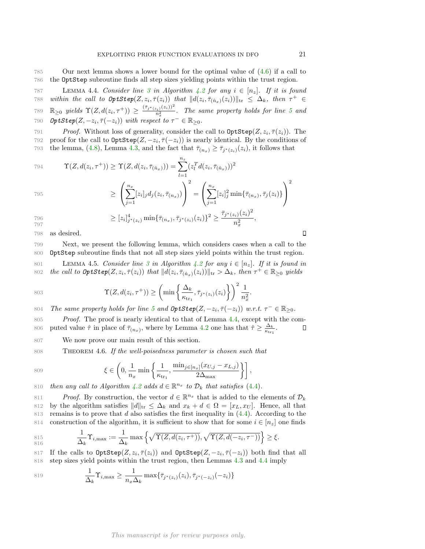787 LEMMA 4.4. Consider line 3 in Algorithm 4.2 for any  $i \in [n_z]$ . If it is found 788 within the call to  $\text{OptStep}(Z, z_i, \overline{\tau}(z_i))$  that  $||d(z_i, \overline{\tau}_{(\hat{n}_x)}(z_i))||_{\text{tr}} \leq \Delta_k$ , then  $\tau^+ \in$  $\mathbb{R}_{\geq 0}$  yields  $\Upsilon(Z, d(z_i, \tau^+)) \geq \frac{(\bar{\tau}_{j^*(z_i)}(z_i))^2}{n_x^2}$ 789  $\mathbb{R}_{\geq 0}$  yields  $\Upsilon(Z, d(z_i, \tau^+)) \geq \frac{\sum_j \gamma(z_i, \tau^2)}{n_x^2}$ . The same property holds for line 5 and 790 **OptStep** $(Z, -z_i, \bar{\tau}(-z_i))$  with respect to  $\tau^- \in \mathbb{R}_{\geq 0}$ .

Proof. Without loss of generality, consider the call to  $\text{OptStep}(Z, z_i, \overline{\tau}(z_i))$ . The proof for the call to  $\text{OptStep}(Z, -z_i, \overline{\tau}(-z_i))$  is nearly identical. By the conditions of the lemma, (4.8), Lemma 4.3, and the fact that  $\overline{\tau}_{(n, \lambda)} > \overline{\tau}_{i * (\tau, \lambda)}(z_i)$ , it follows that 793 the lemma, (4.8), Lemma 4.3, and the fact that  $\bar{\tau}_{(n_x)} \ge \bar{\tau}_{j^*(z_i)}(z_i)$ , it follows that

794 
$$
\Upsilon(Z, d(z_i, \tau^+)) \geq \Upsilon(Z, d(z_i, \bar{\tau}_{(\hat{n}_x)})) = \sum_{l=1}^{n_z} (z_l^T d(z_i, \bar{\tau}_{(\hat{n}_x)}))^2
$$

$$
\geq \left(\sum_{j=1}^{n_x} [z_i]_j d_j(z_i, \bar{\tau}_{(n_x)})\right)^2 = \left(\sum_{j=1}^{n_x} [z_i]_j^2 \min{\{\bar{\tau}_{(n_x)}, \bar{\tau}_j(z_i)\}}\right)^2
$$

796 
$$
\geq [z_i]_{j^*(z_i)}^4 \min{\{\bar{\tau}_{(n_x)}, \bar{\tau}_{j^*(z_i)}(z_i)\}}^2 \geq \frac{\bar{\tau}_{j^*(z_i)}(z_i)^2}{n_x^2},
$$

798 as desired.

797

799 Next, we present the following lemma, which considers cases when a call to the 800 OptStep subroutine finds that not all step sizes yield points within the trust region.

 $n_x^2$ 

801 LEMMA 4.5. Consider line 3 in Algorithm 4.2 for any  $i \in [n_z]$ . If it is found in<br>802 the call to  $\mathcal{O}ptStep(Z, z_i, \overline{\tau}(z_i))$  that  $||d(z_i, \overline{\tau}_{(i-1)}(z_i))||_{tr} > \Delta_k$ , then  $\tau^+ \in \mathbb{R}_{\geq 0}$  yields 802 the call to  $\mathcal{OptStep}(Z, z_i, \overline{\tau}(z_i))$  that  $||d(z_i, \overline{\tau}_{(\hat{n}_x)}(z_i))||_{\text{tr}} > \Delta_k$ , then  $\tau^+ \in \mathbb{R}_{\geq 0}$  yields

803 
$$
\Upsilon(Z, d(z_i, \tau^+)) \geq \left(\min\left\{\frac{\Delta_k}{\kappa_{\text{tr}_1}}, \overline{\tau}_{j^*(z_i)}(z_i)\right\}\right)^2 \frac{1}{n_x^2}.
$$

804 The same property holds for line 5 and  $\text{OptStep}(Z, -z_i, \bar{\tau}(-z_i))$  w.r.t.  $\tau^- \in \mathbb{R}_{\geq 0}$ .

805 Proof. The proof is nearly identical to that of Lemma 4.4, except with the com-806 puted value  $\hat{\tau}$  in place of  $\bar{\tau}_{(n_x)}$ , where by Lemma 4.2 one has that  $\hat{\tau} \geq \frac{\Delta_k}{\kappa_{\text{tr}_1}}$ .  $\Box$ 

807 We now prove our main result of this section.

808 THEOREM 4.6. If the well-poisedness parameter is chosen such that

809 
$$
\xi \in \left(0, \frac{1}{n_x} \min\left\{\frac{1}{\kappa_{\text{tr}_1}}, \frac{\min_{j \in [n_x]}(x_{U,j} - x_{L,j})}{2\Delta_{\text{max}}}\right\}\right],
$$

810 then any call to Algorithm 4.2 adds  $d \in \mathbb{R}^{n_x}$  to  $\mathcal{D}_k$  that satisfies (4.4).

811 Proof. By construction, the vector  $d \in \mathbb{R}^{n_x}$  that is added to the elements of  $\mathcal{D}_k$ 812 by the algorithm satisfies  $||d||_{tr} \leq \Delta_k$  and  $x_k + d \in \Omega = [x_L, x_U]$ . Hence, all that  $\Delta_k$  remains is to prove that d also satisfies the first inequality in (4.4). According to the remains is to prove that d also satisfies the first inequality in  $(4.4)$ . According to the 814 construction of the algorithm, it is sufficient to show that for some  $i \in [n_z]$  one finds

815  
\n816  
\n
$$
\frac{1}{\Delta_k} \Upsilon_{i,\max} := \frac{1}{\Delta_k} \max \left\{ \sqrt{\Upsilon(Z, d(z_i, \tau^+))}, \sqrt{\Upsilon(Z, d(-z_i, \tau^-))} \right\} \ge \xi.
$$

817 If the calls to  $\text{OptStep}(Z, z_i, \overline{\tau}(z_i))$  and  $\text{OptStep}(Z, -z_i, \overline{\tau}(-z_i))$  both find that all 818 step sizes yield points within the trust region, then Lemmas 4.3 and 4.4 imply

819 
$$
\frac{1}{\Delta_k} \Upsilon_{i,\max} \ge \frac{1}{n_x \Delta_k} \max \{ \bar{\tau}_{j^*(z_i)}(z_i), \bar{\tau}_{j^*(-z_i)}(-z_i) \}
$$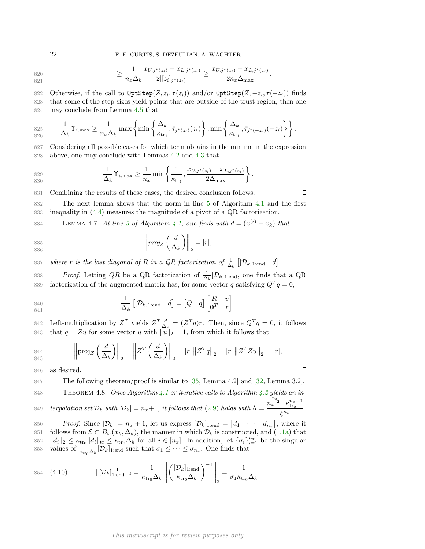$$
f_{\rm{max}}
$$

820  
\n
$$
\geq \frac{1}{n_x \Delta_k} \frac{x_{U,j^*(z_i)} - x_{L,j^*(z_i)}}{2|[z_i]_{j^*(z_i)}|} \geq \frac{x_{U,j^*(z_i)} - x_{L,j^*(z_i)}}{2n_x \Delta_{\max}}.
$$

822 Otherwise, if the call to  $\text{OptStep}(Z, z_i, \overline{\tau}(z_i))$  and/or  $\text{OptStep}(Z, -z_i, \overline{\tau}(-z_i))$  finds 823 that some of the step sizes yield points that are outside of the trust region, then one 824 may conclude from Lemma 4.5 that

$$
\underset{826}{\text{S25}} \qquad \frac{1}{\Delta_k} \Upsilon_{i,\text{max}} \ge \frac{1}{n_x \Delta_k} \max \left\{ \min \left\{ \frac{\Delta_k}{\kappa_{\text{tr}_1}}, \bar{\tau}_{j^*(z_i)}(z_i) \right\}, \min \left\{ \frac{\Delta_k}{\kappa_{\text{tr}_1}}, \bar{\tau}_{j^*(-z_i)}(-z_i) \right\} \right\}.
$$

827 Considering all possible cases for which term obtains in the minima in the expression 828 above, one may conclude with Lemmas 4.2 and 4.3 that

829  
\n830  
\n
$$
\frac{1}{\Delta_k} \Upsilon_{i,\max} \ge \frac{1}{n_x} \min \left\{ \frac{1}{\kappa_{\text{tr}_1}}, \frac{x_{U,j^*(z_i)} - x_{L,j^*(z_i)}}{2\Delta_{\max}} \right\}.
$$

831 Combining the results of these cases, the desired conclusion follows.

832 The next lemma shows that the norm in line 5 of Algorithm 4.1 and the first 833 inequality in (4.4) measures the magnitude of a pivot of a QR factorization.

Remma 4.7. At line 5 of Algorithm 4.1, one finds with  $d = (x^{(i)} - x_k)$  that

$$
\begin{aligned}\n\text{835} \\
\text{836}\n\end{aligned}\n\left|\n\begin{aligned}\n\left|proj_Z\left(\frac{d}{\Delta_k}\right)\right|\right|_2 = |r|,\n\end{aligned}
$$

837 where r is the last diagonal of R in a QR factorization of  $\frac{1}{\Delta_k}$   $[[\mathcal{D}_k]_{1:\text{end}}$  d].

838 Proof. Letting QR be a QR factorization of  $\frac{1}{\Delta_k}[\mathcal{D}_k]_{1:\text{end}}$ , one finds that a QR 839 factorization of the augmented matrix has, for some vector q satisfying  $Q^T q = 0$ ,

840 
$$
\frac{1}{\Delta_k} \left[ [\mathcal{D}_k]_{1:\text{end}} \quad d \right] = \begin{bmatrix} Q & q \end{bmatrix} \begin{bmatrix} R & v \\ \mathbf{0}^T & r \end{bmatrix}.
$$

842 Left-multiplication by  $Z^T$  yields  $Z^T \frac{d}{\Delta_k} = (Z^T q)r$ . Then, since  $Q^T q = 0$ , it follows 843 that  $q = Zu$  for some vector u with  $||u||_2 = 1$ , from which it follows that

844  
845 
$$
\left\| \text{proj}_Z \left( \frac{d}{\Delta_k} \right) \right\|_2 = \left\| Z^T \left( \frac{d}{\Delta_k} \right) \right\|_2 = |r| \left\| Z^T q \right\|_2 = |r| \left\| Z^T Z u \right\|_2 = |r|,
$$

846 as desired.

847 The following theorem/proof is similar to [35, Lemma 4.2] and [32, Lemma 3.2].

848 THEOREM 4.8. Once Algorithm 4.1 or iterative calls to Algorithm 4.2 yields an interpolation set  $\mathcal{D}_k$  with  $|\mathcal{D}_k| = n_x + 1$ , it follows that (2.9) holds with  $\Lambda = \frac{n_x^{\frac{n_x-1}{2}} \kappa_{\text{tr}_0}^{n_x-1}}{\varepsilon^{n_x}}$ 849 terpolation set  $\mathcal{D}_k$  with  $|\mathcal{D}_k| = n_x + 1$ , it follows that (2.9) holds with  $\Lambda = \frac{n_x - n_{\text{tr}}}{\xi^{n_x}}$ .

850 Proof. Since  $|\mathcal{D}_k| = n_x + 1$ , let us express  $[\mathcal{D}_k]_{1:\text{end}} = [d_1 \cdots d_{n_x}]$ , where it 851 follows from  $\mathcal{E} \subset B_{tr}(x_k, \Delta_k)$ , the manner in which  $\mathcal{D}_k$  is constructed, and (1.1a) that  $852 \quad ||d_i||_2 \leq K_{tr} ||d_i||_{tr} \leq K_{tr} \Delta_k$  for all  $i \in [n_*]$ . In addition, let  $\{\sigma_i\}_{i=1}^{n_*}$  be the singular 852  $||d_i||_2 \leq \kappa_{\text{tr}_0} ||d_i||_{\text{tr}} \leq \kappa_{\text{tr}_0} \Delta_k$  for all  $i \in [n_x]$ . In addition, let  $\{\sigma_i\}_{i=1}^{n_x}$  be the singular 853 values of  $\frac{1}{\kappa_{\text{tr}_0} \Delta_k} [\mathcal{D}_k]_{1:\text{end}}$  such that  $\sigma_1 \leq \cdots \leq \sigma_{n_x}$ . One finds that

854 
$$
(4.10)
$$
 
$$
\|[\mathcal{D}_k]_{1:\text{end}}^{-1}\|_2 = \frac{1}{\kappa_{\text{tr}_0} \Delta_k} \left\| \left(\frac{[\mathcal{D}_k]_{1:\text{end}}}{\kappa_{\text{tr}_0} \Delta_k}\right)^{-1} \right\|_2 = \frac{1}{\sigma_1 \kappa_{\text{tr}_0} \Delta_k}.
$$

### This manuscript is for review purposes only.

 $\Box$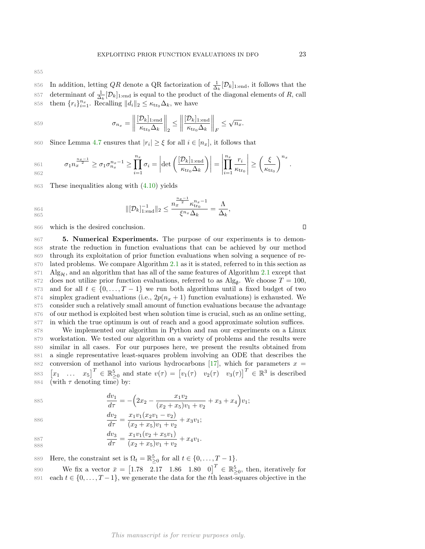855

856 In addition, letting QR denote a QR factorization of  $\frac{1}{\Delta_k}[\mathcal{D}_k]_{1:\text{end}}$ , it follows that the 857 determinant of  $\frac{1}{\Delta_k}[\mathcal{D}_k]_{1:\text{end}}$  is equal to the product of the diagonal elements of R, call 858 them  $\{r_i\}_{i=1}^{n_x}$ . Recalling  $||d_i||_2 \leq \kappa_{\text{tr}_0} \Delta_k$ , we have

$$
\sigma_{n_x} = \left\| \frac{[\mathcal{D}_k]_{1:\text{end}}}{\kappa_{\text{tr}_0} \Delta_k} \right\|_2 \le \left\| \frac{[\mathcal{D}_k]_{1:\text{end}}}{\kappa_{\text{tr}_0} \Delta_k} \right\|_F \le \sqrt{n_x}.
$$

Soo Since Lemma 4.7 ensures that  $|r_i| \geq \xi$  for all  $i \in [n_x]$ , it follows that

861 
$$
\sigma_1 n_x^{\frac{n_x-1}{2}} \geq \sigma_1 \sigma_{n_x}^{n_x-1} \geq \prod_{i=1}^{n_x} \sigma_i = \left| \det \left( \frac{[\mathcal{D}_k]_{1 \text{ end}}}{\kappa_{\text{tr}_0} \Delta_k} \right) \right| = \left| \prod_{i=1}^{n_x} \frac{r_i}{\kappa_{\text{tr}_0}} \right| \geq \left( \frac{\xi}{\kappa_{\text{tr}_0}} \right)^{n_x}.
$$

863 These inequalities along with (4.10) yields

864  
\n865  
\n
$$
\|[\mathcal{D}_k]_{1:\text{end}}^{-1}\|_2 \le \frac{n_x^{\frac{n_x-1}{2}} \kappa_{\text{tr}_0}^{n_x-1}}{\xi^{n_x} \Delta_k} = \frac{\Lambda}{\Delta_k},
$$

866 which is the desired conclusion.

 5. Numerical Experiments. The purpose of our experiments is to demon- strate the reduction in function evaluations that can be achieved by our method through its exploitation of prior function evaluations when solving a sequence of re- lated problems. We compare Algorithm 2.1 as it is stated, referred to in this section as 871 Alg<sub>H</sub>, and an algorithm that has all of the same features of Algorithm 2.1 except that 872 does not utilize prior function evaluations, referred to as Alg<sub>a</sub>. We choose  $T = 100$ . 872 does not utilize prior function evaluations, referred to as  $\text{Alg}_{\emptyset}$ . We choose  $T = 100$ , 873 and for all  $t \in \{0, ..., T - 1\}$  we run both algorithms until a fixed budget of two simplex gradient evaluations (i.e.,  $2p(n_x + 1)$  function evaluations) is exhausted. We simplex gradient evaluations (i.e.,  $2p(n_x + 1)$  function evaluations) is exhausted. We consider such a relatively small amount of function evaluations because the advantage of our method is exploited best when solution time is crucial, such as an online setting, in which the true optimum is out of reach and a good approximate solution suffices.

 We implemented our algorithm in Python and ran our experiments on a Linux workstation. We tested our algorithm on a variety of problems and the results were similar in all cases. For our purposes here, we present the results obtained from a single representative least-squares problem involving an ODE that describes the 882 conversion of methanol into various hydrocarbons [17], which for parameters  $x =$  $\begin{bmatrix} x_1 & \dots & x_5 \end{bmatrix}^T \in \mathbb{R}_{\geq 0}^5$  and state  $v(\tau) = \begin{bmatrix} v_1(\tau) & v_2(\tau) & v_3(\tau) \end{bmatrix}^T \in \mathbb{R}^3$  is described 884 (with  $\tau$  denoting time) by:

885 
$$
\frac{dv_1}{d\tau} = -\left(2x_2 - \frac{x_1v_2}{(x_2 + x_5)v_1 + v_2} + x_3 + x_4\right)v_1;
$$

886  
\n
$$
\frac{dv_2}{d\tau} = \frac{x_1v_1(x_2v_1 - v_2)}{(x_2 + x_5)v_1 + v_2} + x_3v_1;
$$
\n887  
\n
$$
\frac{dv_3}{d\tau} = \frac{x_1v_1(v_2 + x_5v_1)}{(x_2 + x_5)v_1 + v_2} + x_4v_1.
$$

$$
887
$$

 $\frac{388}{4\pi} = \frac{3646}{(x_2 + x_5)v_1 + v_2} + x_4v_1.$ 888

889 Here, the constraint set is  $\Omega_t = \mathbb{R}^5_{\geq 0}$  for all  $t \in \{0, \ldots, T-1\}.$ 

890 We fix a vector  $\bar{x} = \begin{bmatrix} 1.78 & 2.17 & 1.86 & 1.80 & 0 \end{bmatrix}^T \in \mathbb{R}_{\geq 0}^5$ , then, iteratively for 891 each  $t \in \{0, \ldots, T-1\}$ , we generate the data for the t<sup>th</sup> least-squares objective in the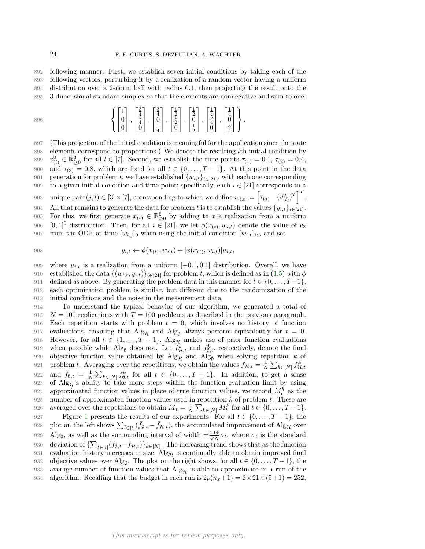following manner. First, we establish seven initial conditions by taking each of the following vectors, perturbing it by a realization of a random vector having a uniform distribution over a 2-norm ball with radius 0.1, then projecting the result onto the 3-dimensional standard simplex so that the elements are nonnegative and sum to one:

896 
$$
\left\{ \begin{bmatrix} 1 \\ 0 \\ 0 \end{bmatrix}, \begin{bmatrix} \frac{3}{4} \\ \frac{1}{4} \\ 0 \end{bmatrix}, \begin{bmatrix} \frac{3}{4} \\ 0 \\ \frac{1}{4} \end{bmatrix}, \begin{bmatrix} \frac{3}{4} \\ 0 \\ \frac{1}{4} \end{bmatrix}, \begin{bmatrix} \frac{1}{2} \\ \frac{1}{2} \\ 0 \end{bmatrix}, \begin{bmatrix} \frac{1}{4} \\ 0 \\ \frac{1}{2} \end{bmatrix}, \begin{bmatrix} \frac{1}{4} \\ 0 \\ 0 \end{bmatrix}, \begin{bmatrix} \frac{1}{4} \\ 0 \\ \frac{3}{4} \end{bmatrix} \right\}.
$$

897 (This projection of the initial condition is meaningful for the application since the state 898 elements correspond to proportions.) We denote the resulting lth initial condition by 899  $v_{(l)}^0 \in \mathbb{R}^3_{\geq 0}$  for all  $l \in [7]$ . Second, we establish the time points  $\tau_{(1)} = 0.1$ ,  $\tau_{(2)} = 0.4$ , 900 and  $\tau_{(3)} = 0.8$ , which are fixed for all  $t \in \{0, \ldots, T-1\}$ . At this point in the data sense example  $f(w, t)$  is the set of the corresponding generation for problem t, we have established  $\{w_{i,t}\}_{i\in[21]}$ , with each one corresponding  $\infty$  to a given initial condition and time point: specifically, each  $i \in [21]$  corresponds to a to a given initial condition and time point; specifically, each  $i \in [21]$  corresponds to a 903 unique pair  $(j, l) \in [3] \times [7]$ , corresponding to which we define  $w_{i,t} := \left[ \tau_{(j)} \quad (v_{(l)}^0)^T \right]^T$ . All that remains to generate the data for problem t is to establish the values  $\{y_{i,t}\}_{i\in[21]}$ .<br>905 For this, we first generate  $x_{(t)} \in \mathbb{R}^5$  by adding to  $\bar{x}$  a realization from a uniform 905 For this, we first generate  $x_{(t)} \in \mathbb{R}^5_{\geq 0}$  by adding to  $\bar{x}$  a realization from a uniform 906  $[0, 1]^5$  distribution. Then, for all  $i \in [21]$ , we let  $\phi(x_{(t)}, w_{i,t})$  denote the value of  $v_3$ <br>907 from the ODE at time  $[w_{i,j}]_0$  when using the initial condition  $[w_{i,t}]_{1,3}$  and set from the ODE at time  $[w_{i,j}]_0$  when using the initial condition  $[w_{i,t}]_{1:3}$  and set

908 
$$
y_{i,t} \leftarrow \phi(x_{(t)}, w_{i,t}) + |\phi(x_{(t)}, w_{i,t})|u_{i,t},
$$

909 where  $u_{i,t}$  is a realization from a uniform  $[-0.1, 0.1]$  distribution. Overall, we have established the data  $\{(w_{i,t}, y_{i,t})\}_{i \in [21]}$  for problem t, which is defined as in  $(1.5)$  with  $\phi$ 910 established the data  $\{(w_{i,t}, y_{i,t})\}_{i\in[21]}$  for problem t, which is defined as in (1.5) with  $\phi$ <br>911 defined as above. By generating the problem data in this manner for  $t \in \{0, ..., T-1\}$ . 911 defined as above. By generating the problem data in this manner for  $t \in \{0, ..., T-1\}$ ,<br>912 each optimization problem is similar, but different due to the randomization of the each optimization problem is similar, but different due to the randomization of the 913 initial conditions and the noise in the measurement data.

914 To understand the typical behavior of our algorithm, we generated a total of 915  $N = 100$  replications with  $T = 100$  problems as described in the previous paragraph. 916 Each repetition starts with problem  $t = 0$ , which involves no history of function 917 evaluations, meaning that  $\text{Alg}_{\mathcal{H}}$  and  $\text{Alg}_{\mathcal{G}}$  always perform equivalently for  $t = 0$ .<br>918 However, for all  $t \in \{1, ..., T - 1\}$ ,  $\text{Alg}_{\mathcal{H}}$  makes use of prior function evaluations 918 However, for all  $t \in \{1, ..., T-1\}$ , Alg<sub>H</sub> makes use of prior function evaluations 919 when possible while Alg<sub>Ø</sub> does not. Let  $f_{\mathcal{H},t}^k$  and  $f_{\varnothing,t}^k$ , respectively, denote the final 920 objective function value obtained by Alg<sub>H</sub> and Alg<sub>Ø</sub> when solving repetition k of 921 problem t. Averaging over the repetitions, we obtain the values  $\bar{f}_{H} = \frac{1}{N} \sum_{k \in [M]} f_{H}^k$ . 921 problem t. Averaging over the repetitions, we obtain the values  $\bar{f}_{\mathcal{H},t} = \frac{1}{N} \sum_{k \in [N]} f_{\mathcal{H},t}^k$ 922 and  $\bar{f}_{\emptyset,t} = \frac{1}{N} \sum_{k \in [N]} f_{\emptyset,t}^k$  for all  $t \in \{0,\ldots,T-1\}$ . In addition, to get a sense 923 of  $\text{Alg}_{\mathcal{H}}$ 's ability to take more steps within the function evaluation limit by using 924 approximated function values in place of true function values, we record  $M_t^k$  as the 925 number of approximated function values used in repetition  $k$  of problem  $t$ . These are 926 averaged over the repetitions to obtain  $\overline{M}_t = \frac{1}{N} \sum_{k \in [N]} M_t^k$  for all  $t \in \{0, ..., T-1\}$ . 927 Figure 1 presents the results of our experiments. For all  $t \in \{0, ..., T-1\}$ , the 928 plot on the left shows  $\sum_{\bar{t} \in \{1\}} (\bar{f}_{\emptyset}, \bar{t} - \bar{f}_{\emptyset}, \bar{t})$ , the accumulated improvement of Alg<sub>4</sub> over 928 plot on the left shows  $\sum_{\bar{t}\in[t]}(\bar{f}_{\emptyset,\bar{t}}-\bar{f}_{\mathcal{H},\bar{t}})$ , the accumulated improvement of  $\mathrm{Alg}_{\mathcal{H}}$  over 929 Alg<sub> $\emptyset$ </sub>, as well as the surrounding interval of width  $\pm \frac{1.96}{\sqrt{N}} \sigma_t$ , where  $\sigma_t$  is the standard 930 deviation of  $\{\sum_{\bar{t}\in[t]}(f_{\emptyset,\bar{t}}-f_{\mathcal{H},\bar{t}})\}_{k\in[N]}$ . The increasing trend shows that as the function 931 evaluation history increases in size,  $\text{Alg}_{\mathcal{H}}$  is continually able to obtain improved final 932 objective values over  $\text{Alg}_{\mathcal{A}}$ . The plot on the right shows, for all  $t \in \{0, \ldots, T-1\}$ , the 932 objective values over  $\text{Alg}_{\emptyset}$ . The plot on the right shows, for all  $t \in \{0, \ldots, T-1\}$ , the 933 average number of function values that  $\text{Alg}_{\mathcal{H}}$  is able to approximate in a run of the 934 algorithm. Recalling that the budget in each run is  $2p(n_x+1) = 2 \times 21 \times (5+1) = 252$ . algorithm. Recalling that the budget in each run is  $2p(n_x+1) = 2 \times 21 \times (5+1) = 252$ ,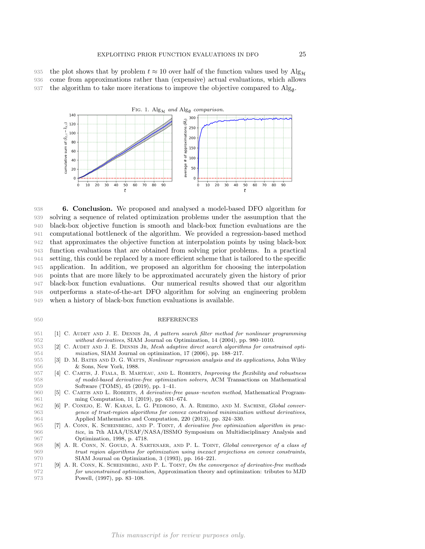935 the plot shows that by problem  $t \approx 10$  over half of the function values used by  $\text{Alg}_{\mathcal{H}}$  come from approximations rather than (expensive) actual evaluations, which allows come from approximations rather than (expensive) actual evaluations, which allows 937 the algorithm to take more iterations to improve the objective compared to  $\text{Alg}_{\emptyset}$ .



 6. Conclusion. We proposed and analysed a model-based DFO algorithm for solving a sequence of related optimization problems under the assumption that the black-box objective function is smooth and black-box function evaluations are the computational bottleneck of the algorithm. We provided a regression-based method that approximates the objective function at interpolation points by using black-box function evaluations that are obtained from solving prior problems. In a practical setting, this could be replaced by a more efficient scheme that is tailored to the specific application. In addition, we proposed an algorithm for choosing the interpolation points that are more likely to be approximated accurately given the history of prior black-box function evaluations. Our numerical results showed that our algorithm outperforms a state-of-the-art DFO algorithm for solving an engineering problem when a history of black-box function evaluations is available.

## 950 REFERENCES

- 951 [1] C. AUDET AND J. E. DENNIS JR, A pattern search filter method for nonlinear programming 952 without derivatives, SIAM Journal on Optimization, 14 (2004), pp. 980–1010.
- 953 [2] C. AUDET AND J. E. DENNIS JR, Mesh adaptive direct search algorithms for constrained opti-<br>954 mization, SIAM Journal on optimization, 17 (2006), pp. 188–217.  $mization$ , SIAM Journal on optimization, 17 (2006), pp. 188–217.
- 955 [3] D. M. BATES AND D. G. WATTS, Nonlinear regression analysis and its applications, John Wiley<br>956 & Sons. New York, 1988. 956 & Sons, New York, 1988.<br>957 [4] C. CARTIS, J. FIALA, B. MAI
- [4] C. CARTIS, J. FIALA, B. MARTEAU, AND L. ROBERTS, Improving the flexibility and robustness 958 of model-based derivative-free optimization solvers, ACM Transactions on Mathematical 959 Software (TOMS), 45 (2019), pp. 1–41.
- 960 [5] C. CARTIS AND L. ROBERTS, A derivative-free gauss–newton method, Mathematical Program-961 ming Computation, 11 (2019), pp. 631–674.
- 962 [6] P. CONEJO, E. W. KARAS, L. G. PEDROSO, A. A. RIBEIRO, AND M. SACHINE, Global conver-963 gence of trust-region algorithms for convex constrained minimization without derivatives, 964 Applied Mathematics and Computation, 220 (2013), pp. 324–330.
- 965 [7] A. CONN, K. SCHEINBERG, AND P. TOINT, A derivative free optimization algorithm in prac-966 tice, in 7th AIAA/USAF/NASA/ISSMO Symposium on Multidisciplinary Analysis and 967 Optimization, 1998, p. 4718.
- 968 [8] A. R. CONN, N. GOULD, A. SARTENAER, AND P. L. TOINT, Global convergence of a class of 969 trust region algorithms for optimization using inexact projections on convex constraints, 970 SIAM Journal on Optimization, 3 (1993), pp. 164–221.
- 971 [9] A. R. CONN, K. SCHEINBERG, AND P. L. TOINT, On the convergence of derivative-free methods 972 for unconstrained optimization, Approximation theory and optimization: tributes to MJD 973 Powell, (1997), pp. 83–108.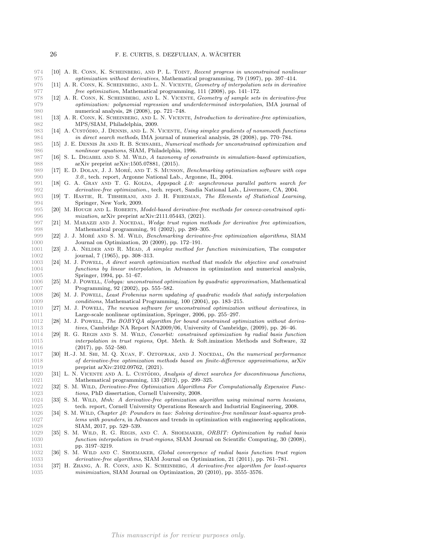- 974 [10] A. R. CONN, K. SCHEINBERG, AND P. L. TOINT, Recent progress in unconstrained nonlinear 975 optimization without derivatives, Mathematical programming, 79 (1997), pp. 397–414.<br>976 [11] A. R. CONN, K. SCHEINBERG, AND L. N. VICENTE, Geometry of interpolation sets in deriva
- 976 [11] A. R. CONN, K. SCHEINBERG, AND L. N. VICENTE, *Geometry of interpolation sets in derivative*<br>977 free optimization, Mathematical programming, 111 (2008), pp. 141–172. free optimization, Mathematical programming, 111 (2008), pp. 141–172.
- 978 [12] A. R. CONN, K. SCHEINBERG, AND L. N. VICENTE, Geometry of sample sets in derivative-free 979 optimization: polynomial regression and underdetermined interpolation, IMA journal of 980 numerical analysis, 28 (2008), pp. 721–748.
- 981 [13] A. R. CONN, K. SCHEINBERG, AND L. N. VICENTE, Introduction to derivative-free optimization, 982 MPS/SIAM, Philadelphia, 2009.
- 983 [14] A. CustÓpio, J. DENNIS, AND L. N. VICENTE, Using simplex gradients of nonsmooth functions 984 in direct search methods, IMA journal of numerical analysis, 28 (2008), pp. 770–784.
- 985 [15] J. E. DENNIS JR AND R. B. SCHNABEL, Numerical methods for unconstrained optimization and nonlinear equations. SIAM. Philadelphia. 1996. nonlinear equations, SIAM, Philadelphia, 1996.
- 987 [16] S. L. DIGABEL AND S. M. WILD, A taxonomy of constraints in simulation-based optimization, 988 arXiv preprint arXiv:1505.07881, (2015).
- 989 [17] E. D. DOLAN, J. J. MORÉ, AND T. S. MUNSON, Benchmarking optimization software with cops 990 3.0., tech. report, Argonne National Lab., Argonne, IL, 2004.<br>991 [18] G. A. GRAY AND T. G. KOLDA, Appspack 4.0: asynchronous
- [18] G. A. GRAY AND T. G. KOLDA, Appspack 4.0: asynchronous parallel pattern search for 992 derivative-free optimization., tech. report, Sandia National Lab., Livermore, CA, 2004.
- 993 [19] T. Hastie, R. Tibshirani, and J. H. Friedman, The Elements of Statistical Learning, 994 Springer, New York, 2009.
- 995 [20] M. HOUGH AND L. ROBERTS, *Model-based derivative-free methods for convex-constrained opti-*<br>996 *mization*, arXiv preprint arXiv:2111.05443, (2021).  $mization$ , arXiv preprint arXiv:2111.05443, (2021).
- 997 [21] M. MARAZZI AND J. NOCEDAL, Wedge trust region methods for derivative free optimization, 998 Mathematical programming, 91 (2002), pp. 289–305.
- 999 [22] J. J. MORÉ AND S. M. WILD, Benchmarking derivative-free optimization algorithms, SIAM 1000 Journal on Optimization, 20 (2009), pp. 172–191.
- 1001 [23] J. A. Nelder and R. Mead, A simplex method for function minimization, The computer 1002 journal, 7 (1965), pp. 308–313.
- 1003 [24] M. J. Powell, A direct search optimization method that models the objective and constraint 1004 functions by linear interpolation, in Advances in optimization and numerical analysis, 1005 Springer, 1994, pp. 51–67.
- 1006 [25] M. J. Powell, Uobyqa: unconstrained optimization by quadratic approximation, Mathematical 1007 Programming, 92 (2002), pp. 555–582.
- 1008 [26] M. J. Powell, Least Frobenius norm updating of quadratic models that satisfy interpolation 1009 conditions, Mathematical Programming, 100 (2004), pp. 183–215.<br>1010 [27] M. J. Powett, The neuvon software for unconstrained ontimization
- [27] M. J. Powell, The newuoa software for unconstrained optimization without derivatives, in 1011 Large-scale nonlinear optimization, Springer, 2006, pp. 255–297.
- 1012 [28] M. J. POWELL, *The BOBYQA algorithm for bound constrained optimization without deriva-*<br>1013 *tives*, Cambridge NA Report NA2009/06, University of Cambridge, (2009), pp. 26–46. tives, Cambridge NA Report NA2009/06, University of Cambridge, (2009), pp. 26–46.
- 1014 [29] R. G. Regis and S. M. Wild, Conorbit: constrained optimization by radial basis function 1015 interpolation in trust regions, Opt. Meth. & Soft.imization Methods and Software, 32 1016 (2017), pp. 552–580.
- 1017 [30] H.-J. M. SHI, M. Q. XUAN, F. OZTOPRAK, AND J. NOCEDAL, On the numerical performance 1018 of derivative-free optimization methods based on finite-difference approximations, arXiv 1019 preprint arXiv:2102.09762, (2021).<br>1020 [31] L. N. VICENTE AND A. L. CUSTÓDIO,
- 1020 [31] L. N. VICENTE AND A. L. CUSTÓDIO, Analysis of direct searches for discontinuous functions, 1021 Mathematical programming, 133 (2012), pp. 299–325. Mathematical programming, 133 (2012), pp. 299-325.
- 1022 [32] S. M. Wild, Derivative-Free Optimization Algorithms For Computationally Expensive Func-1023 tions, PhD dissertation, Cornell University, 2008.
- 1024 [33] S. M. Wild, Mnh: A derivative-free optimization algorithm using minimal norm hessians, 1025 tech. report, Cornell University Operations Research and Industrial Engineering, 2008.
- 1026 [34] S. M. Wild, Chapter 40: Pounders in tao: Solving derivative-free nonlinear least-squares prob-1027 lems with pounders, in Advances and trends in optimization with engineering applications,<br>1028 SIAM, 2017, pp. 529–539. SIAM, 2017, pp. 529-539.
- 1029 [35] S. M. Wild, R. G. Regis, and C. A. Shoemaker, ORBIT: Optimization by radial basis 1030 function interpolation in trust-regions, SIAM Journal on Scientific Computing, 30 (2008), 1031 pp. 3197-3219.
- 1032 [36] S. M. Wild and C. Shoemaker, Global convergence of radial basis function trust region 1033 derivative-free algorithms, SIAM Journal on Optimization, 21 (2011), pp. 761–781.
- 1034 [37] H. Zhang, A. R. Conn, and K. Scheinberg, A derivative-free algorithm for least-squares 1035 *minimization*, SIAM Journal on Optimization, 20 (2010), pp. 3555–3576.